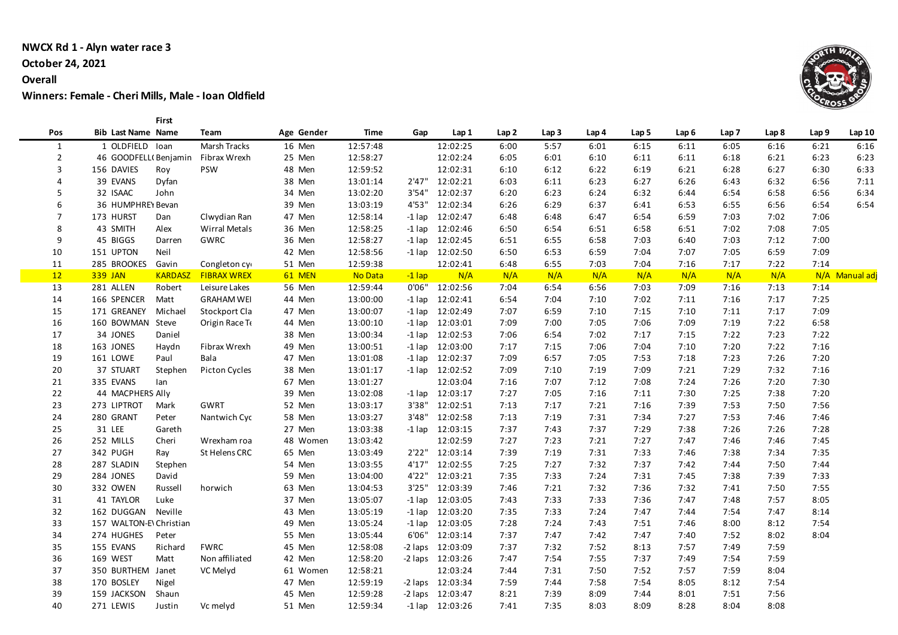#### **NWCX Rd 1 - Alyn water race 3**

### **October 24, 2021**

#### **Overall**

**Winners: Female - Cheri Mills, Male - Ioan Oldfield**

**First** 

| Pos            | <b>Bib Last Name Name</b>        | Team               | Age Gender | Time     | Gap      | Lap 1               | Lap 2 | Lap 3 | Lap 4 | Lap 5 | Lap 6 | Lap 7 | Lap 8 | Lap 9 | Lap 10         |
|----------------|----------------------------------|--------------------|------------|----------|----------|---------------------|-------|-------|-------|-------|-------|-------|-------|-------|----------------|
| 1              | 1 OLDFIELD Ioan                  | Marsh Tracks       | 16 Men     | 12:57:48 |          | 12:02:25            | 6:00  | 5:57  | 6:01  | 6:15  | 6:11  | 6:05  | 6:16  | 6:21  | 6:16           |
| $\overline{2}$ | 46 GOODFELL(Benjamin             | Fibrax Wrexh       | 25 Men     | 12:58:27 |          | 12:02:24            | 6:05  | 6:01  | 6:10  | 6:11  | 6:11  | 6:18  | 6:21  | 6:23  | 6:23           |
| $\overline{3}$ | 156 DAVIES<br>Roy                | <b>PSW</b>         | 48 Men     | 12:59:52 |          | 12:02:31            | 6:10  | 6:12  | 6:22  | 6:19  | 6:21  | 6:28  | 6:27  | 6:30  | 6:33           |
| $\overline{4}$ | 39 EVANS<br>Dyfan                |                    | 38 Men     | 13:01:14 |          | 2'47" 12:02:21      | 6:03  | 6:11  | 6:23  | 6:27  | 6:26  | 6:43  | 6:32  | 6:56  | 7:11           |
| 5              | 32 ISAAC<br>John                 |                    | 34 Men     | 13:02:20 |          | 3'54" 12:02:37      | 6:20  | 6:23  | 6:24  | 6:32  | 6:44  | 6:54  | 6:58  | 6:56  | 6:34           |
| 6              | 36 HUMPHREY Bevan                |                    | 39 Men     | 13:03:19 |          | 4'53" 12:02:34      | 6:26  | 6:29  | 6:37  | 6:41  | 6:53  | 6:55  | 6:56  | 6:54  | 6:54           |
| $\overline{7}$ | 173 HURST<br>Dan                 | Clwydian Ran       | 47 Men     | 12:58:14 |          | $-1$ lap $12:02:47$ | 6:48  | 6:48  | 6:47  | 6:54  | 6:59  | 7:03  | 7:02  | 7:06  |                |
| 8              | 43 SMITH<br>Alex                 | Wirral Metals      | 36 Men     | 12:58:25 |          | $-1$ lap $12:02:46$ | 6:50  | 6:54  | 6:51  | 6:58  | 6:51  | 7:02  | 7:08  | 7:05  |                |
| q              | 45 BIGGS<br>Darren               | GWRC               | 36 Men     | 12:58:27 |          | $-1$ lap $12:02:45$ | 6:51  | 6:55  | 6:58  | 7:03  | 6:40  | 7:03  | 7:12  | 7:00  |                |
| 10             | 151 UPTON<br>Neil                |                    | 42 Men     | 12:58:56 |          | $-1$ lap $12:02:50$ | 6:50  | 6:53  | 6:59  | 7:04  | 7:07  | 7:05  | 6:59  | 7:09  |                |
| 11             | 285 BROOKES Gavin                | Congleton cy       | 51 Men     | 12:59:38 |          | 12:02:41            | 6:48  | 6:55  | 7:03  | 7:04  | 7:16  | 7:17  | 7:22  | 7:14  |                |
| 12             | <b>339 JAN</b><br><b>KARDASZ</b> | <b>FIBRAX WREX</b> | 61 MEN     | No Data  | $-1$ lap | N/A                 | N/A   | N/A   | N/A   | N/A   | N/A   | N/A   | N/A   |       | N/A Manual adj |
| 13             | 281 ALLEN<br>Robert              | Leisure Lakes      | 56 Men     | 12:59:44 | 0'06"    | 12:02:56            | 7:04  | 6:54  | 6:56  | 7:03  | 7:09  | 7:16  | 7:13  | 7:14  |                |
| 14             | 166 SPENCER<br>Matt              | <b>GRAHAM WEI</b>  | 44 Men     | 13:00:00 |          | $-1$ lap $12:02:41$ | 6:54  | 7:04  | 7:10  | 7:02  | 7:11  | 7:16  | 7:17  | 7:25  |                |
| 15             | 171 GREANEY<br>Michael           | Stockport Cla      | 47 Men     | 13:00:07 |          | $-1$ lap $12:02:49$ | 7:07  | 6:59  | 7:10  | 7:15  | 7:10  | 7:11  | 7:17  | 7:09  |                |
| 16             | 160 BOWMAN Steve                 | Origin Race Te     | 44 Men     | 13:00:10 |          | $-1$ lap $12:03:01$ | 7:09  | 7:00  | 7:05  | 7:06  | 7:09  | 7:19  | 7:22  | 6:58  |                |
| 17             | 34 JONES<br>Daniel               |                    | 38 Men     | 13:00:34 |          | $-1$ lap $12:02:53$ | 7:06  | 6:54  | 7:02  | 7:17  | 7:15  | 7:22  | 7:23  | 7:22  |                |
| 18             | 163 JONES<br>Haydn               | Fibrax Wrexh       | 49 Men     | 13:00:51 |          | -1 lap 12:03:00     | 7:17  | 7:15  | 7:06  | 7:04  | 7:10  | 7:20  | 7:22  | 7:16  |                |
| 19             | 161 LOWE<br>Paul                 | Bala               | 47 Men     | 13:01:08 | -1 lap   | 12:02:37            | 7:09  | 6:57  | 7:05  | 7:53  | 7:18  | 7:23  | 7:26  | 7:20  |                |
| 20             | 37 STUART<br>Stephen             | Picton Cycles      | 38 Men     | 13:01:17 |          | $-1$ lap $12:02:52$ | 7:09  | 7:10  | 7:19  | 7:09  | 7:21  | 7:29  | 7:32  | 7:16  |                |
| 21             | 335 EVANS<br>lan                 |                    | 67 Men     | 13:01:27 |          | 12:03:04            | 7:16  | 7:07  | 7:12  | 7:08  | 7:24  | 7:26  | 7:20  | 7:30  |                |
| 22             | 44 MACPHERS Ally                 |                    | 39 Men     | 13:02:08 |          | $-1$ lap $12:03:17$ | 7:27  | 7:05  | 7:16  | 7:11  | 7:30  | 7:25  | 7:38  | 7:20  |                |
| 23             | 273 LIPTROT<br>Mark              | GWRT               | 52 Men     | 13:03:17 |          | 3'38" 12:02:51      | 7:13  | 7:17  | 7:21  | 7:16  | 7:39  | 7:53  | 7:50  | 7:56  |                |
| 24             | 280 GRANT<br>Peter               | Nantwich Cyc       | 58 Men     | 13:03:27 |          | 3'48" 12:02:58      | 7:13  | 7:19  | 7:31  | 7:34  | 7:27  | 7:53  | 7:46  | 7:46  |                |
| 25             | 31 LEE<br>Gareth                 |                    | 27 Men     | 13:03:38 |          | $-1$ lap $12:03:15$ | 7:37  | 7:43  | 7:37  | 7:29  | 7:38  | 7:26  | 7:26  | 7:28  |                |
| 26             | 252 MILLS<br>Cheri               | Wrexham roa        | 48 Women   | 13:03:42 |          | 12:02:59            | 7:27  | 7:23  | 7:21  | 7:27  | 7:47  | 7:46  | 7:46  | 7:45  |                |
| 27             | 342 PUGH<br>Ray                  | St Helens CRC      | 65 Men     | 13:03:49 |          | 2'22" 12:03:14      | 7:39  | 7:19  | 7:31  | 7:33  | 7:46  | 7:38  | 7:34  | 7:35  |                |
| 28             | 287 SLADIN<br>Stephen            |                    | 54 Men     | 13:03:55 |          | 4'17" 12:02:55      | 7:25  | 7:27  | 7:32  | 7:37  | 7:42  | 7:44  | 7:50  | 7:44  |                |
| 29             | 284 JONES<br>David               |                    | 59 Men     | 13:04:00 |          | 4'22" 12:03:21      | 7:35  | 7:33  | 7:24  | 7:31  | 7:45  | 7:38  | 7:39  | 7:33  |                |
| 30             | 332 OWEN<br>Russell              | horwich            | 63 Men     | 13:04:53 |          | 3'25" 12:03:39      | 7:46  | 7:21  | 7:32  | 7:36  | 7:32  | 7:41  | 7:50  | 7:55  |                |
| 31             | 41 TAYLOR<br>Luke                |                    | 37 Men     | 13:05:07 |          | $-1$ lap $12:03:05$ | 7:43  | 7:33  | 7:33  | 7:36  | 7:47  | 7:48  | 7:57  | 8:05  |                |
| 32             | 162 DUGGAN Neville               |                    | 43 Men     | 13:05:19 |          | $-1$ lap $12:03:20$ | 7:35  | 7:33  | 7:24  | 7:47  | 7:44  | 7:54  | 7:47  | 8:14  |                |
| 33             | 157 WALTON-EN Christian          |                    | 49 Men     | 13:05:24 |          | $-1$ lap $12:03:05$ | 7:28  | 7:24  | 7:43  | 7:51  | 7:46  | 8:00  | 8:12  | 7:54  |                |
| 34             | 274 HUGHES<br>Peter              |                    | 55 Men     | 13:05:44 |          | 6'06" 12:03:14      | 7:37  | 7:47  | 7:42  | 7:47  | 7:40  | 7:52  | 8:02  | 8:04  |                |
| 35             | 155 EVANS<br>Richard             | <b>FWRC</b>        | 45 Men     | 12:58:08 |          | -2 laps 12:03:09    | 7:37  | 7:32  | 7:52  | 8:13  | 7:57  | 7:49  | 7:59  |       |                |
| 36             | 169 WEST<br>Matt                 | Non affiliated     | 42 Men     | 12:58:20 |          | -2 laps 12:03:26    | 7:47  | 7:54  | 7:55  | 7:37  | 7:49  | 7:54  | 7:59  |       |                |
| 37             | 350 BURTHEM Janet                | VC Melyd           | 61 Women   | 12:58:21 |          | 12:03:24            | 7:44  | 7:31  | 7:50  | 7:52  | 7:57  | 7:59  | 8:04  |       |                |
| 38             | 170 BOSLEY<br>Nigel              |                    | 47 Men     | 12:59:19 |          | -2 laps 12:03:34    | 7:59  | 7:44  | 7:58  | 7:54  | 8:05  | 8:12  | 7:54  |       |                |
| 39             | 159 JACKSON Shaun                |                    | 45 Men     | 12:59:28 |          | -2 laps 12:03:47    | 8:21  | 7:39  | 8:09  | 7:44  | 8:01  | 7:51  | 7:56  |       |                |
| 40             | 271 LEWIS<br>Justin              | Vc melyd           | 51 Men     | 12:59:34 |          | $-1$ lap $12:03:26$ | 7:41  | 7:35  | 8:03  | 8:09  | 8:28  | 8:04  | 8:08  |       |                |

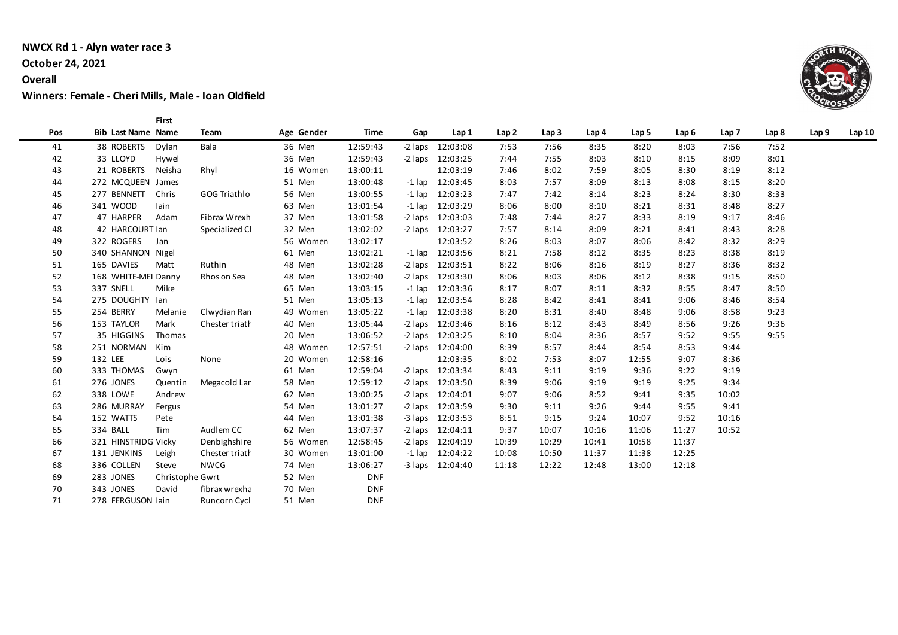#### **NWCX Rd 1 - Alyn water race 3**

### **October 24, 2021**

#### **Overall**

**Winners: Female - Cheri Mills, Male - Ioan Oldfield**

**First** 

| Pos | <b>Bib Last Name Name</b>    | Team           | Age Gender | Time       | Gap | Lap 1                | Lap 2 | Lap <sub>3</sub> | Lap 4 | Lap 5 | Lap <sub>6</sub> | Lap <sub>7</sub> | Lap <sub>8</sub> | Lap 9 | Lap10 |
|-----|------------------------------|----------------|------------|------------|-----|----------------------|-------|------------------|-------|-------|------------------|------------------|------------------|-------|-------|
| 41  | 38 ROBERTS Dylan             | Bala           | 36 Men     | 12:59:43   |     | -2 laps 12:03:08     | 7:53  | 7:56             | 8:35  | 8:20  | 8:03             | 7:56             | 7:52             |       |       |
| 42  | 33 LLOYD<br>Hywel            |                | 36 Men     | 12:59:43   |     | -2 laps 12:03:25     | 7:44  | 7:55             | 8:03  | 8:10  | 8:15             | 8:09             | 8:01             |       |       |
| 43  | 21 ROBERTS Neisha            | Rhyl           | 16 Women   | 13:00:11   |     | 12:03:19             | 7:46  | 8:02             | 7:59  | 8:05  | 8:30             | 8:19             | 8:12             |       |       |
| 44  | 272 MCQUEEN James            |                | 51 Men     | 13:00:48   |     | $-1$ lap $12:03:45$  | 8:03  | 7:57             | 8:09  | 8:13  | 8:08             | 8:15             | 8:20             |       |       |
| 45  | 277 BENNETT Chris            | GOG Triathlor  | 56 Men     | 13:00:55   |     | $-1$ lap $12:03:23$  | 7:47  | 7:42             | 8:14  | 8:23  | 8:24             | 8:30             | 8:33             |       |       |
| 46  | 341 WOOD<br>lain             |                | 63 Men     | 13:01:54   |     | $-1$ lap $12:03:29$  | 8:06  | 8:00             | 8:10  | 8:21  | 8:31             | 8:48             | 8:27             |       |       |
| 47  | 47 HARPER<br>Adam            | Fibrax Wrexh   | 37 Men     | 13:01:58   |     | -2 laps 12:03:03     | 7:48  | 7:44             | 8:27  | 8:33  | 8:19             | 9:17             | 8:46             |       |       |
| 48  | 42 HARCOURT Ian              | Specialized Cl | 32 Men     | 13:02:02   |     | -2 laps 12:03:27     | 7:57  | 8:14             | 8:09  | 8:21  | 8:41             | 8:43             | 8:28             |       |       |
| 49  | 322 ROGERS<br>Jan            |                | 56 Women   | 13:02:17   |     | 12:03:52             | 8:26  | 8:03             | 8:07  | 8:06  | 8:42             | 8:32             | 8:29             |       |       |
| 50  | 340 SHANNON Nigel            |                | 61 Men     | 13:02:21   |     | $-1$ lap $12:03:56$  | 8:21  | 7:58             | 8:12  | 8:35  | 8:23             | 8:38             | 8:19             |       |       |
| 51  | 165 DAVIES<br>Matt           | Ruthin         | 48 Men     | 13:02:28   |     | $-2$ laps $12:03:51$ | 8:22  | 8:06             | 8:16  | 8:19  | 8:27             | 8:36             | 8:32             |       |       |
| 52  | 168 WHITE-MEI Danny          | Rhos on Sea    | 48 Men     | 13:02:40   |     | $-2$ laps $12:03:30$ | 8:06  | 8:03             | 8:06  | 8:12  | 8:38             | 9:15             | 8:50             |       |       |
| 53  | 337 SNELL<br>Mike            |                | 65 Men     | 13:03:15   |     | $-1$ lap $12:03:36$  | 8:17  | 8:07             | 8:11  | 8:32  | 8:55             | 8:47             | 8:50             |       |       |
| 54  | 275 DOUGHTY Ian              |                | 51 Men     | 13:05:13   |     | $-1$ lap $12:03:54$  | 8:28  | 8:42             | 8:41  | 8:41  | 9:06             | 8:46             | 8:54             |       |       |
| 55  | 254 BERRY<br>Melanie         | Clwydian Ran   | 49 Women   | 13:05:22   |     | $-1$ lap $12:03:38$  | 8:20  | 8:31             | 8:40  | 8:48  | 9:06             | 8:58             | 9:23             |       |       |
| 56  | 153 TAYLOR<br>Mark           | Chester triath | 40 Men     | 13:05:44   |     | -2 laps 12:03:46     | 8:16  | 8:12             | 8:43  | 8:49  | 8:56             | 9:26             | 9:36             |       |       |
| 57  | 35 HIGGINS<br>Thomas         |                | 20 Men     | 13:06:52   |     | -2 laps 12:03:25     | 8:10  | 8:04             | 8:36  | 8:57  | 9:52             | 9:55             | 9:55             |       |       |
| 58  | 251 NORMAN Kim               |                | 48 Women   | 12:57:51   |     | -2 laps 12:04:00     | 8:39  | 8:57             | 8:44  | 8:54  | 8:53             | 9:44             |                  |       |       |
| 59  | 132 LEE<br>Lois              | None           | 20 Women   | 12:58:16   |     | 12:03:35             | 8:02  | 7:53             | 8:07  | 12:55 | 9:07             | 8:36             |                  |       |       |
| 60  | 333 THOMAS<br>Gwyn           |                | 61 Men     | 12:59:04   |     | -2 laps 12:03:34     | 8:43  | 9:11             | 9:19  | 9:36  | 9:22             | 9:19             |                  |       |       |
| 61  | 276 JONES<br>Quentin         | Megacold Lan   | 58 Men     | 12:59:12   |     | -2 laps 12:03:50     | 8:39  | 9:06             | 9:19  | 9:19  | 9:25             | 9:34             |                  |       |       |
| 62  | 338 LOWE<br>Andrew           |                | 62 Men     | 13:00:25   |     | -2 laps 12:04:01     | 9:07  | 9:06             | 8:52  | 9:41  | 9:35             | 10:02            |                  |       |       |
| 63  | 286 MURRAY<br>Fergus         |                | 54 Men     | 13:01:27   |     | -2 laps 12:03:59     | 9:30  | 9:11             | 9:26  | 9:44  | 9:55             | 9:41             |                  |       |       |
| 64  | 152 WATTS<br>Pete            |                | 44 Men     | 13:01:38   |     | -3 laps 12:03:53     | 8:51  | 9:15             | 9:24  | 10:07 | 9:52             | 10:16            |                  |       |       |
| 65  | 334 BALL<br>Tim              | Audlem CC      | 62 Men     | 13:07:37   |     | $-2$ laps $12:04:11$ | 9:37  | 10:07            | 10:16 | 11:06 | 11:27            | 10:52            |                  |       |       |
| 66  | 321 HINSTRIDG Vicky          | Denbighshire   | 56 Women   | 12:58:45   |     | -2 laps 12:04:19     | 10:39 | 10:29            | 10:41 | 10:58 | 11:37            |                  |                  |       |       |
| 67  | 131 JENKINS<br>Leigh         | Chester triath | 30 Women   | 13:01:00   |     | $-1$ lap $12:04:22$  | 10:08 | 10:50            | 11:37 | 11:38 | 12:25            |                  |                  |       |       |
| 68  | 336 COLLEN<br>Steve          | <b>NWCG</b>    | 74 Men     | 13:06:27   |     | -3 laps 12:04:40     | 11:18 | 12:22            | 12:48 | 13:00 | 12:18            |                  |                  |       |       |
| 69  | 283 JONES<br>Christophe Gwrt |                | 52 Men     | <b>DNF</b> |     |                      |       |                  |       |       |                  |                  |                  |       |       |
| 70  | 343 JONES<br>David           | fibrax wrexha  | 70 Men     | <b>DNF</b> |     |                      |       |                  |       |       |                  |                  |                  |       |       |
| 71  | 278 FERGUSON lain            | Runcorn Cycl   | 51 Men     | <b>DNF</b> |     |                      |       |                  |       |       |                  |                  |                  |       |       |

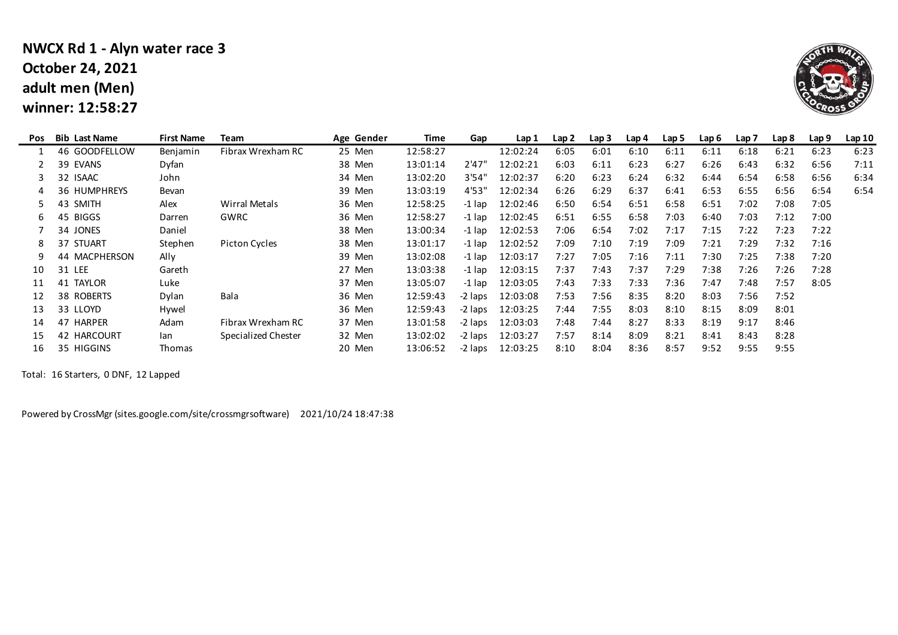### **adult men (Men) winner: 12:58:27 NWCX Rd 1 - Alyn water race 3 October 24, 2021**



| <b>Bib Last Name</b> | <b>First Name</b> | Team                | Age Gender | Time     | Gap     | Lap 1    | Lap2 | Lap <sub>3</sub> | Lap 4 | Lap 5 | Lap <sub>6</sub> | Lap <sub>7</sub> | Lap 8 | Lap <sub>9</sub> | Lap10 |
|----------------------|-------------------|---------------------|------------|----------|---------|----------|------|------------------|-------|-------|------------------|------------------|-------|------------------|-------|
| 46 GOODFELLOW        | Benjamin          | Fibrax Wrexham RC   | 25 Men     | 12:58:27 |         | 12:02:24 | 6:05 | 6:01             | 6:10  | 6:11  | 6:11             | 6:18             | 6:21  | 6:23             | 6:23  |
| 39 EVANS             | Dyfan             |                     | 38 Men     | 13:01:14 | 2'47"   | 12:02:21 | 6:03 | 6:11             | 6:23  | 6:27  | 6:26             | 6:43             | 6:32  | 6:56             | 7:11  |
| 32 ISAAC             | John              |                     | 34 Men     | 13:02:20 | 3'54"   | 12:02:37 | 6:20 | 6:23             | 6:24  | 6:32  | 6:44             | 6:54             | 6:58  | 6:56             | 6:34  |
| <b>36 HUMPHREYS</b>  | Bevan             |                     | 39 Men     | 13:03:19 | 4'53"   | 12:02:34 | 6:26 | 6:29             | 6:37  | 6:41  | 6:53             | 6:55             | 6:56  | 6:54             | 6:54  |
| 43<br><b>SMITH</b>   | Alex              | Wirral Metals       | 36 Men     | 12:58:25 | -1 lap  | 12:02:46 | 6:50 | 6:54             | 6:51  | 6:58  | 6:51             | 7:02             | 7:08  | 7:05             |       |
| 45 BIGGS             | Darren            | GWRC                | 36 Men     | 12:58:27 | -1 lap  | 12:02:45 | 6:51 | 6:55             | 6:58  | 7:03  | 6:40             | 7:03             | 7:12  | 7:00             |       |
| 34 JONES             | Daniel            |                     | 38 Men     | 13:00:34 | -1 lap  | 12:02:53 | 7:06 | 6:54             | 7:02  | 7:17  | 7:15             | 7:22             | 7:23  | 7:22             |       |
| 37 STUART            | Stephen           | Picton Cycles       | 38 Men     | 13:01:17 | -1 lap  | 12:02:52 | 7:09 | 7:10             | 7:19  | 7:09  | 7:21             | 7:29             | 7:32  | 7:16             |       |
| 44 MACPHERSON        | Ally              |                     | 39 Men     | 13:02:08 | -1 lap  | 12:03:17 | 7:27 | 7:05             | 7:16  | 7:11  | 7:30             | 7:25             | 7:38  | 7:20             |       |
| 31 LEE               | Gareth            |                     | 27 Men     | 13:03:38 | -1 lap  | 12:03:15 | 7:37 | 7:43             | 7:37  | 7:29  | 7:38             | 7:26             | 7:26  | 7:28             |       |
| 41 TAYLOR            | Luke              |                     | 37 Men     | 13:05:07 | -1 lap  | 12:03:05 | 7:43 | 7:33             | 7:33  | 7:36  | 7:47             | 7:48             | 7:57  | 8:05             |       |
| 38 ROBERTS           | Dylan             | Bala                | 36 Men     | 12:59:43 | -2 laps | 12:03:08 | 7:53 | 7:56             | 8:35  | 8:20  | 8:03             | 7:56             | 7:52  |                  |       |
| 33 LLOYD             | Hywel             |                     | 36 Men     | 12:59:43 | -2 laps | 12:03:25 | 7:44 | 7:55             | 8:03  | 8:10  | 8:15             | 8:09             | 8:01  |                  |       |
| 47 HARPER            | Adam              | Fibrax Wrexham RC   | 37 Men     | 13:01:58 | -2 laps | 12:03:03 | 7:48 | 7:44             | 8:27  | 8:33  | 8:19             | 9:17             | 8:46  |                  |       |
| 42 HARCOURT          | lan               | Specialized Chester | 32 Men     | 13:02:02 | -2 laps | 12:03:27 | 7:57 | 8:14             | 8:09  | 8:21  | 8:41             | 8:43             | 8:28  |                  |       |
| 35 HIGGINS           | Thomas            |                     | 20 Men     | 13:06:52 | -2 laps | 12:03:25 | 8:10 | 8:04             | 8:36  | 8:57  | 9:52             | 9:55             | 9:55  |                  |       |
|                      |                   |                     |            |          |         |          |      |                  |       |       |                  |                  |       |                  |       |

Total: 16 Starters, 0 DNF, 12 Lapped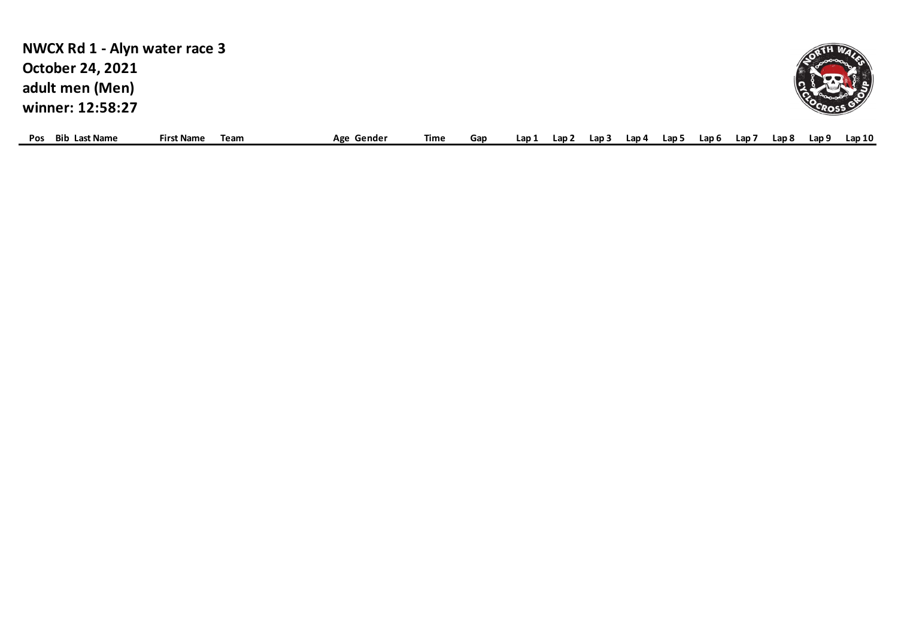| NWCX Rd 1 - Alyn water race 3 |                   |      |            |      |     |       |       |       |       |       |       |       |       |       |       |
|-------------------------------|-------------------|------|------------|------|-----|-------|-------|-------|-------|-------|-------|-------|-------|-------|-------|
| <b>October 24, 2021</b>       |                   |      |            |      |     |       |       |       |       |       |       |       |       |       |       |
| adult men (Men)               |                   |      |            |      |     |       |       |       |       |       |       |       |       |       |       |
| winner: 12:58:27              |                   |      |            |      |     |       |       |       |       |       |       |       |       |       |       |
| <b>Bib Last Name</b><br>Pos   | <b>First Name</b> | Team | Age Gender | Time | Gap | Lap 1 | Lap 2 | Lap 3 | Lan . | Lap 5 | Lap 6 | Lap : | Lap 8 | Lap 9 | Lap10 |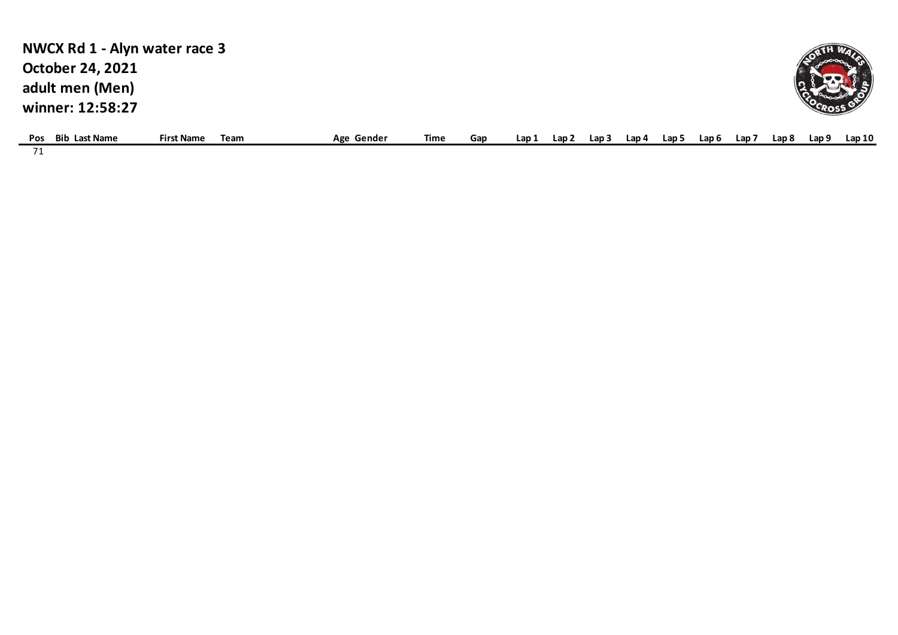| NWCX Rd 1 - Alyn water race 3 |                   |      |            |      |     |      |                  |                  |       |       |                  |                  |       |       |       |
|-------------------------------|-------------------|------|------------|------|-----|------|------------------|------------------|-------|-------|------------------|------------------|-------|-------|-------|
| <b>October 24, 2021</b>       |                   |      |            |      |     |      |                  |                  |       |       |                  |                  |       |       |       |
| adult men (Men)               |                   |      |            |      |     |      |                  |                  |       |       |                  |                  |       |       |       |
| winner: 12:58:27              |                   |      |            |      |     |      |                  |                  |       |       |                  |                  |       |       |       |
| <b>Bib Last Name</b><br>Pos   | <b>First Name</b> | Team | Age Gender | Time | Gap | Lap1 | Lap <sub>2</sub> | Lap <sub>3</sub> | Lap 4 | Lap 5 | Lap <sub>6</sub> | Lap <sub>7</sub> | Lap 8 | Lap 9 | Lap10 |
| 71                            |                   |      |            |      |     |      |                  |                  |       |       |                  |                  |       |       |       |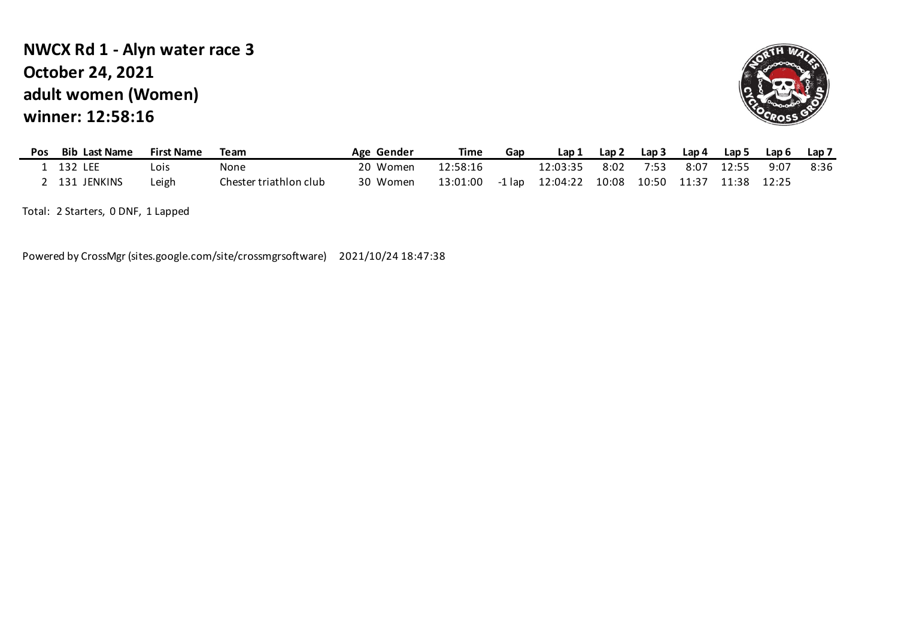# **adult women (Women) winner: 12:58:16 NWCX Rd 1 - Alyn water race 3 October 24, 2021**



| <b>Pos</b> | <b>Bib Last Name</b> | <b>First Name</b> | Team                   | Age Gender | Time     | Gap | Lap 1    | Lap 2             | Lap 3 | Lap 4 | Lap 5 | Lap 6 | Lap <sub>7</sub> |
|------------|----------------------|-------------------|------------------------|------------|----------|-----|----------|-------------------|-------|-------|-------|-------|------------------|
|            | 132 LEE              | -ois              | None                   | 20 Women   | 12:58:16 |     | 12:03:35 | 8:02              | 7:53  | 8:07  | 12:55 | 9:07  | 8:36             |
|            | 131 JENKINS          | ∟eigh             | Chester triathlon club | 30 Women   | 13:01:00 |     |          | 10:08 10:50 11:37 |       |       | 11:38 | 12:25 |                  |

Total: 2 Starters, 0 DNF, 1 Lapped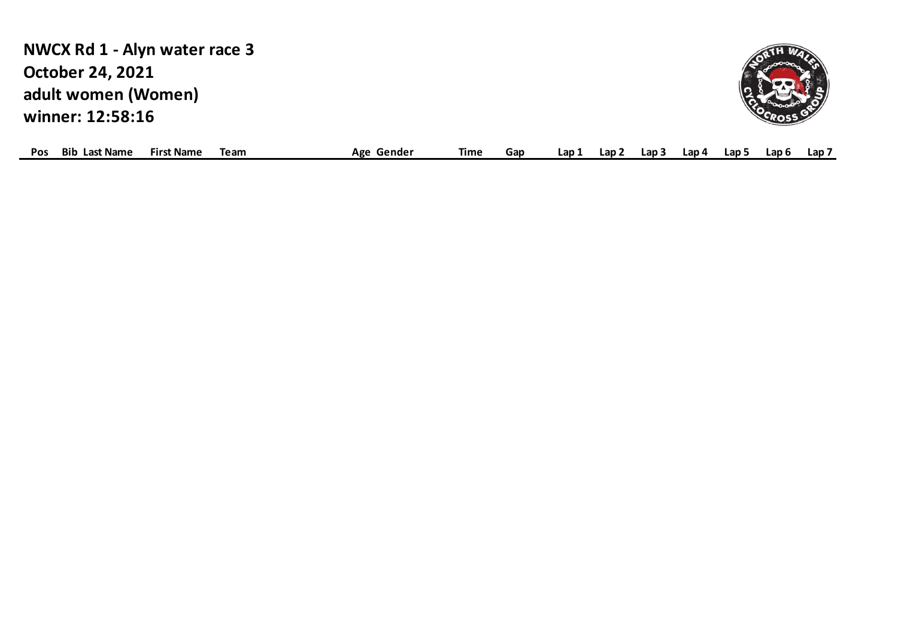**adult women (Women) winner: 12:58:16 NWCX Rd 1 - Alyn water race 3 October 24, 2021**



| <b>POS</b> | Bib<br>ាst Name | . Name<br><b>First</b> | ream | Gender<br>Age | Time | Gar | Lap | ∟ap∶ | $\mathsf{L}$ ap $\mathbb{R}$ | ∟ap 4 | Lap ' | Lan 6 | Lap |
|------------|-----------------|------------------------|------|---------------|------|-----|-----|------|------------------------------|-------|-------|-------|-----|
|            |                 |                        |      |               |      |     |     |      |                              |       |       |       |     |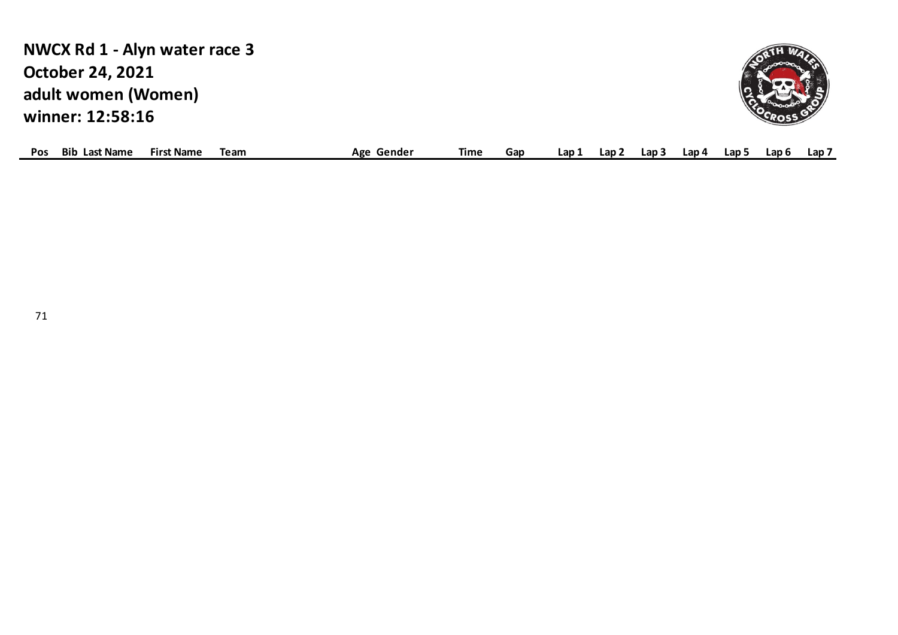**adult women (Women) winner: 12:58:16 NWCX Rd 1 - Alyn water race 3 October 24, 2021**



| <b>POS</b> | Bib<br>Last Name | <b>First Name</b> | Team | Gender<br>Λσο<br>nse | Time | Gap | -an- | ∟ap ⊺ | Lap | Lap 4 | Lap ! | .an 6 | Lap |
|------------|------------------|-------------------|------|----------------------|------|-----|------|-------|-----|-------|-------|-------|-----|
|            |                  |                   |      |                      |      |     |      |       |     |       |       |       |     |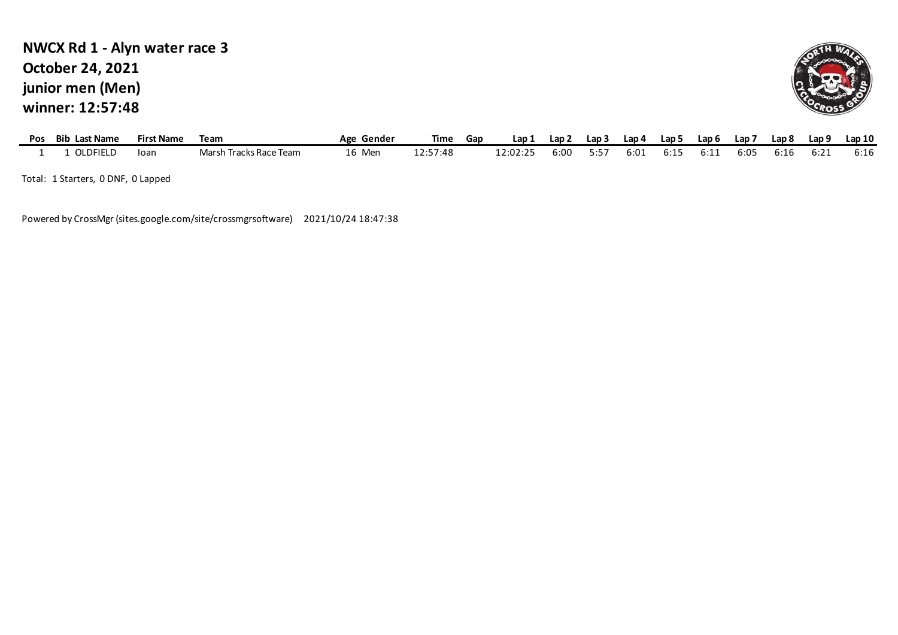### **junior men (Men) winner: 12:57:48 NWCX Rd 1 - Alyn water race 3 October 24, 2021**



| Pos | <b>Bib Last Name</b> | <b>First Name</b> | Team                   | Age Gender | Time     | Gap | Lap 1    | Lap 2 | Lap 3 | Lap 4 | Lap 5 | Lap 6 | Lap i | Lap 8 | Lap 9 | Lap 10 |
|-----|----------------------|-------------------|------------------------|------------|----------|-----|----------|-------|-------|-------|-------|-------|-------|-------|-------|--------|
|     | OLDFIELD             | Toar              | Marsh Tracks Race Team | 16 Men     | 12:57:48 |     | 12:02:25 | 6:00  | 5:57  | 6:01  | 6:15  | 6:11  | 6:05  | 6:16  | 6:21  | 6:16   |
|     | _________<br>------  |                   |                        |            |          |     |          |       |       |       |       |       |       |       |       |        |

Total: 1 Starters, 0 DNF, 0 Lapped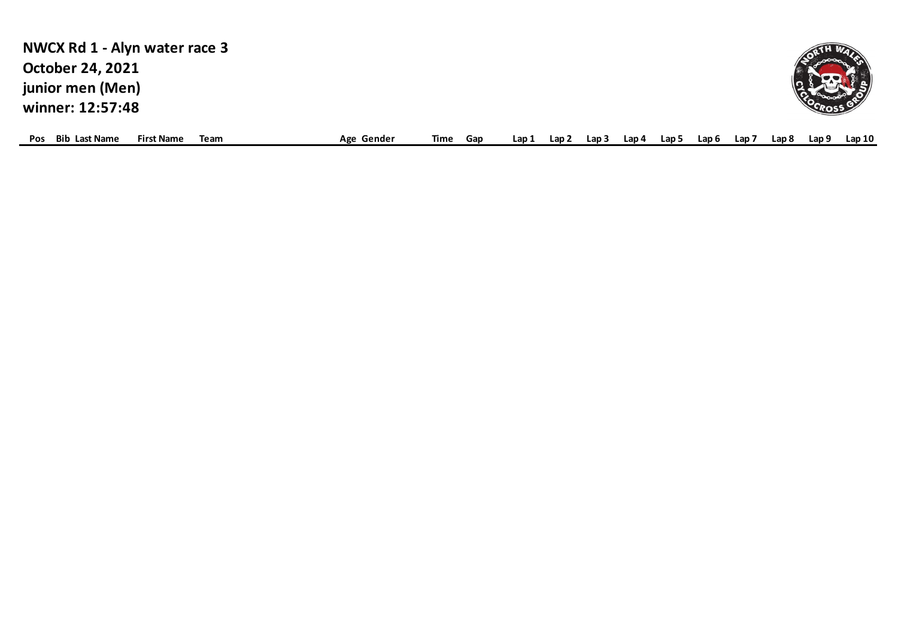| NWCX Rd 1 - Alyn water race 3 |                   |      |            |      |     |       |       |       |       |       |       |       |       |
|-------------------------------|-------------------|------|------------|------|-----|-------|-------|-------|-------|-------|-------|-------|-------|
| <b>October 24, 2021</b>       |                   |      |            |      |     |       |       |       |       |       |       |       |       |
| junior men (Men)              |                   |      |            |      |     |       |       |       |       |       |       |       |       |
| winner: 12:57:48              |                   |      |            |      |     |       |       |       |       |       |       |       |       |
| <b>Bib Last Name</b><br>Pos   | <b>First Name</b> | Team | Age Gender | Time | Gap | Lap 1 | Lap 2 | Lap 3 | .ap 4 | Lap 6 | Lap 8 | Lap 9 | Lap10 |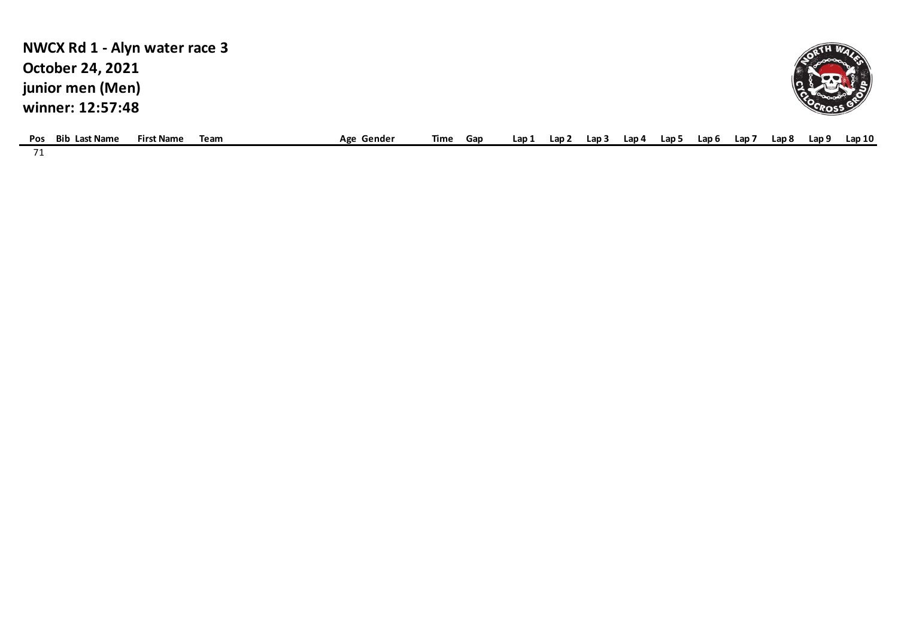| NWCX Rd 1 - Alyn water race 3                                   |            |      |     |       |       |       |      |       |       |     |       |       |
|-----------------------------------------------------------------|------------|------|-----|-------|-------|-------|------|-------|-------|-----|-------|-------|
| <b>October 24, 2021</b>                                         |            |      |     |       |       |       |      |       |       |     |       |       |
| junior men (Men)                                                |            |      |     |       |       |       |      |       |       |     |       |       |
| winner: 12:57:48                                                |            |      |     |       |       |       |      |       |       |     |       |       |
| <b>Bib Last Name</b><br><b>First Name</b><br><b>Pos</b><br>Team | Age Gender | Time | Gap | Lap 1 | Lap . | Lap 3 | an 4 | Lap ! | Lap 6 | Lap | Lap 8 | Lap10 |

71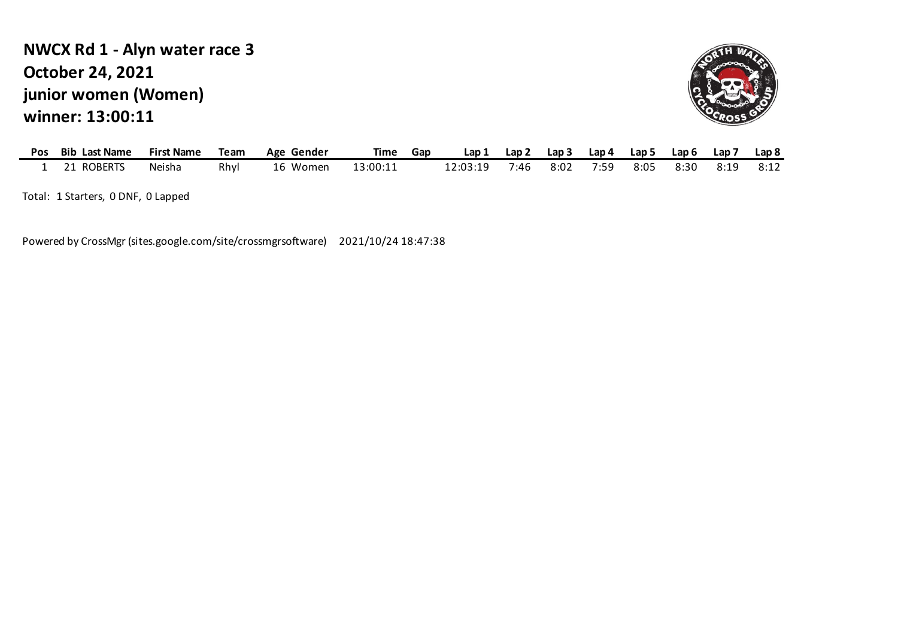# **junior women (Women) winner: 13:00:11 NWCX Rd 1 - Alyn water race 3 October 24, 2021**



| Pos | <b>Bib Last Name</b> | <b>First Name</b> | Team | Age Gender | Time     | Gap | Lap 1    | Lap 2 | Lap 3 | Lap 4 | Lap 5 | Lap 6 | Lap 7 | Lap <sub>8</sub> |
|-----|----------------------|-------------------|------|------------|----------|-----|----------|-------|-------|-------|-------|-------|-------|------------------|
|     | 21 ROBERTS           | Neisha            | Rhyl | 16 Women   | 13:00:11 |     | 12:03:19 | 7:46  | 8:02  | 7:59  | 8:05  | 8:30  | 8:19  | 8:12             |

Total: 1 Starters, 0 DNF, 0 Lapped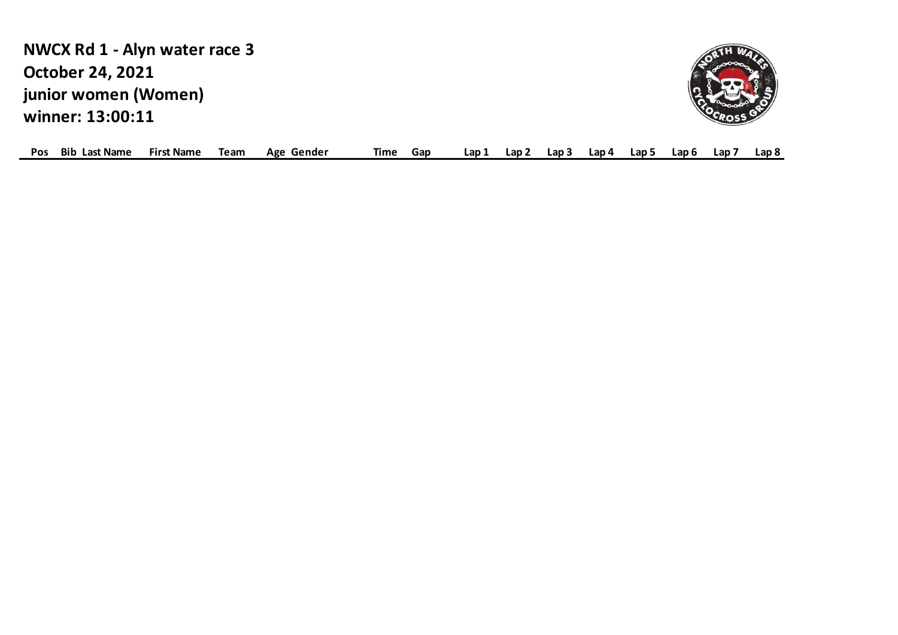**junior women (Women) winner: 13:00:11 NWCX Rd 1 - Alyn water race 3 October 24, 2021**



| <b>POS</b> | Bib<br><b>Last Name</b> | Name<br>Firs | Team | Gender<br>Age | lime<br>Gap | ∟ap<br>Lap i | Lap i | ∟ap 4 | Lap | Lap 6<br>Lap. |  | . 0<br>Lap 8 |
|------------|-------------------------|--------------|------|---------------|-------------|--------------|-------|-------|-----|---------------|--|--------------|
|------------|-------------------------|--------------|------|---------------|-------------|--------------|-------|-------|-----|---------------|--|--------------|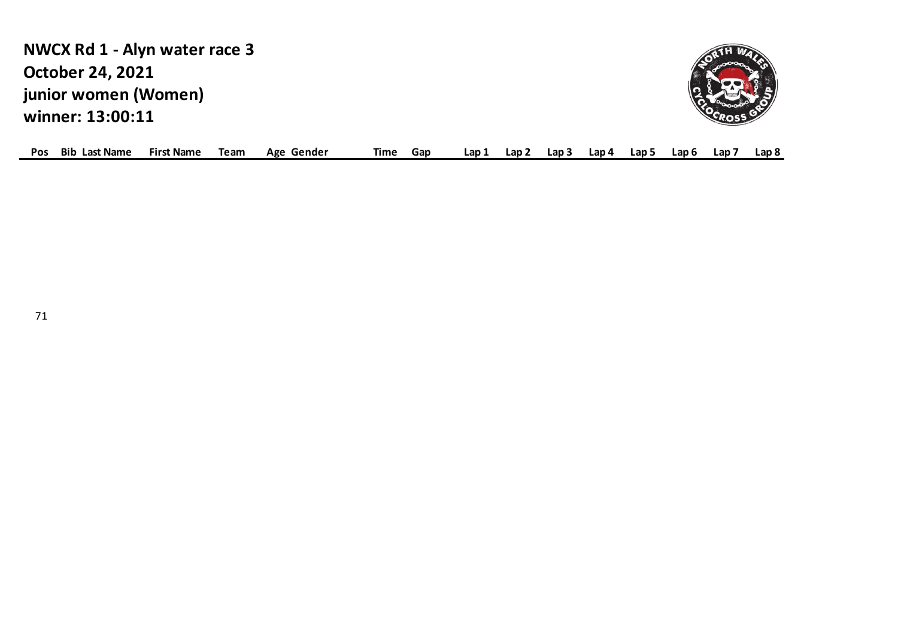**junior women (Women) winner: 13:00:11 NWCX Rd 1 - Alyn water race 3 October 24, 2021**



| <b>Pos</b><br>Bib | Last Name | `Name<br>First | Team | Age<br>Gender | lime | Gar | ∟ap∶ | Lap | Lap 3 | Lap 4 | Lap 5 | ∟ap 6 | Lap |  | Lap 8 |  |
|-------------------|-----------|----------------|------|---------------|------|-----|------|-----|-------|-------|-------|-------|-----|--|-------|--|
|-------------------|-----------|----------------|------|---------------|------|-----|------|-----|-------|-------|-------|-------|-----|--|-------|--|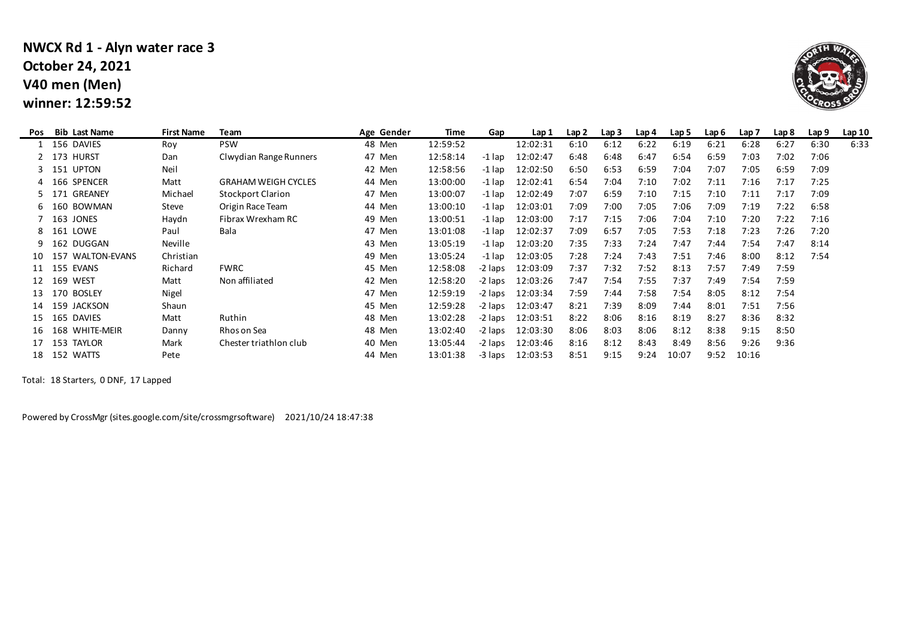### **V40 men (Men) winner: 12:59:52 NWCX Rd 1 - Alyn water race 3 October 24, 2021**



| Pos | <b>Bib Last Name</b> | <b>First Name</b> | Team                       | Age Gender | Time     | Gap     | Lap 1    | Lap <sub>2</sub> | Lap <sub>3</sub> | Lap 4 | Lap 5 | Lap 6 | Lap 7 | Lap 8 | Lap 9 | Lap10 |
|-----|----------------------|-------------------|----------------------------|------------|----------|---------|----------|------------------|------------------|-------|-------|-------|-------|-------|-------|-------|
|     | 156 DAVIES           | Roy               | <b>PSW</b>                 | 48 Men     | 12:59:52 |         | 12:02:31 | 6:10             | 6:12             | 6:22  | 6:19  | 6:21  | 6:28  | 6:27  | 6:30  | 6:33  |
|     | 2 173 HURST          | Dan               | Clwydian Range Runners     | 47 Men     | 12:58:14 | -1 lap  | 12:02:47 | 6:48             | 6:48             | 6:47  | 6:54  | 6:59  | 7:03  | 7:02  | 7:06  |       |
|     | 151 UPTON            | Neil              |                            | 42 Men     | 12:58:56 | -1 lap  | 12:02:50 | 6:50             | 6:53             | 6:59  | 7:04  | 7:07  | 7:05  | 6:59  | 7:09  |       |
|     | 4 166 SPENCER        | Matt              | <b>GRAHAM WEIGH CYCLES</b> | 44 Men     | 13:00:00 | -1 lap  | 12:02:41 | 6:54             | 7:04             | 7:10  | 7:02  | 7:11  | 7:16  | 7:17  | 7:25  |       |
|     | 5 171 GREANEY        | Michael           | <b>Stockport Clarion</b>   | 47 Men     | 13:00:07 | -1 lap  | 12:02:49 | 7:07             | 6:59             | 7:10  | 7:15  | 7:10  | 7:11  | 7:17  | 7:09  |       |
|     | 160 BOWMAN           | Steve             | Origin Race Team           | 44 Men     | 13:00:10 | -1 lap  | 12:03:01 | 7:09             | 7:00             | 7:05  | 7:06  | 7:09  | 7:19  | 7:22  | 6:58  |       |
|     | 163 JONES            | Haydn             | Fibrax Wrexham RC          | 49 Men     | 13:00:51 | -1 lap  | 12:03:00 | 7:17             | 7:15             | 7:06  | 7:04  | 7:10  | 7:20  | 7:22  | 7:16  |       |
|     | 8 161 LOWE           | Paul              | Bala                       | 47 Men     | 13:01:08 | -1 lap  | 12:02:37 | 7:09             | 6:57             | 7:05  | 7:53  | 7:18  | 7:23  | 7:26  | 7:20  |       |
|     | 162 DUGGAN           | Neville           |                            | 43 Men     | 13:05:19 | -1 lap  | 12:03:20 | 7:35             | 7:33             | 7:24  | 7:47  | 7:44  | 7:54  | 7:47  | 8:14  |       |
|     | 157 WALTON-EVANS     | Christian         |                            | 49 Men     | 13:05:24 | -1 lap  | 12:03:05 | 7:28             | 7:24             | 7:43  | 7:51  | 7:46  | 8:00  | 8:12  | 7:54  |       |
|     | 155 EVANS            | Richard           | <b>FWRC</b>                | 45 Men     | 12:58:08 | -2 laps | 12:03:09 | 7:37             | 7:32             | 7:52  | 8:13  | 7:57  | 7:49  | 7:59  |       |       |
|     | 169 WEST             | Matt              | Non affiliated             | 42 Men     | 12:58:20 | -2 laps | 12:03:26 | 7:47             | 7:54             | 7:55  | 7:37  | 7:49  | 7:54  | 7:59  |       |       |
| 13  | 170 BOSLEY           | Nigel             |                            | 47 Men     | 12:59:19 | -2 laps | 12:03:34 | 7:59             | 7:44             | 7:58  | 7:54  | 8:05  | 8:12  | 7:54  |       |       |
|     | 159 JACKSON          | Shaun             |                            | 45 Men     | 12:59:28 | -2 laps | 12:03:47 | 8:21             | 7:39             | 8:09  | 7:44  | 8:01  | 7:51  | 7:56  |       |       |
|     | 165 DAVIES           | Matt              | Ruthin                     | 48 Men     | 13:02:28 | -2 laps | 12:03:51 | 8:22             | 8:06             | 8:16  | 8:19  | 8:27  | 8:36  | 8:32  |       |       |
| 16  | 168 WHITE-MEIR       | Danny             | Rhos on Sea                | 48 Men     | 13:02:40 | -2 laps | 12:03:30 | 8:06             | 8:03             | 8:06  | 8:12  | 8:38  | 9:15  | 8:50  |       |       |
|     | 153<br><b>TAYLOR</b> | Mark              | Chester triathlon club     | 40 Men     | 13:05:44 | -2 laps | 12:03:46 | 8:16             | 8:12             | 8:43  | 8:49  | 8:56  | 9:26  | 9:36  |       |       |
| 18  | 152 WATTS            | Pete              |                            | 44 Men     | 13:01:38 | -3 laps | 12:03:53 | 8:51             | 9:15             | 9:24  | 10:07 | 9:52  | 10:16 |       |       |       |

Total: 18 Starters, 0 DNF, 17 Lapped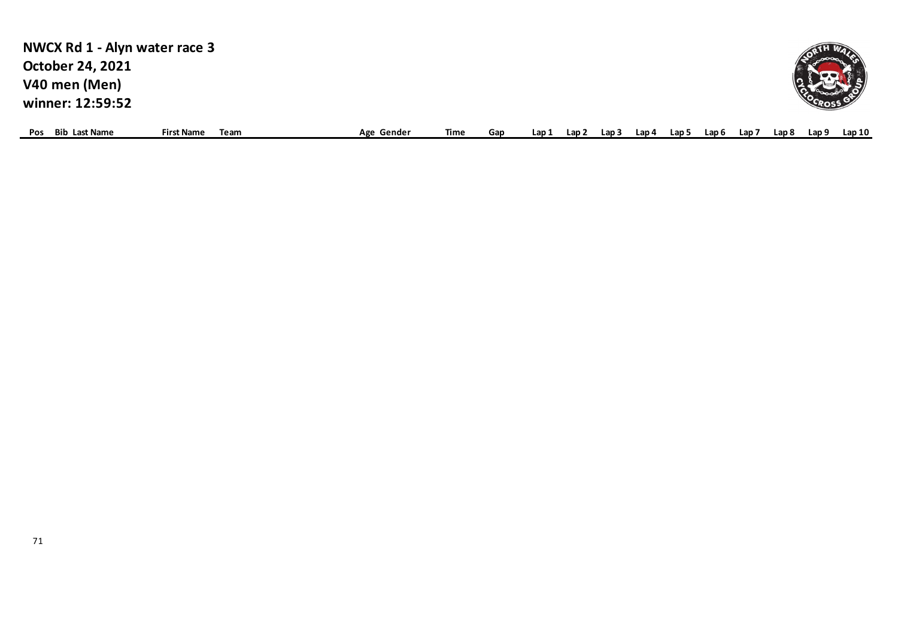| NWCX Rd 1 - Alyn water race 3<br><b>October 24, 2021</b><br>V40 men (Men)<br>winner: 12:59:52 |                   |      |            |      |     |       |       |       |  |     |       |       |        |
|-----------------------------------------------------------------------------------------------|-------------------|------|------------|------|-----|-------|-------|-------|--|-----|-------|-------|--------|
| <b>Bib Last Name</b><br>Pos                                                                   | <b>First Name</b> | Team | Age Gender | Time | Gap | Lap 1 | ، Lap | ، Lap |  | Lap | Lap 8 | Lap 9 | Lap 10 |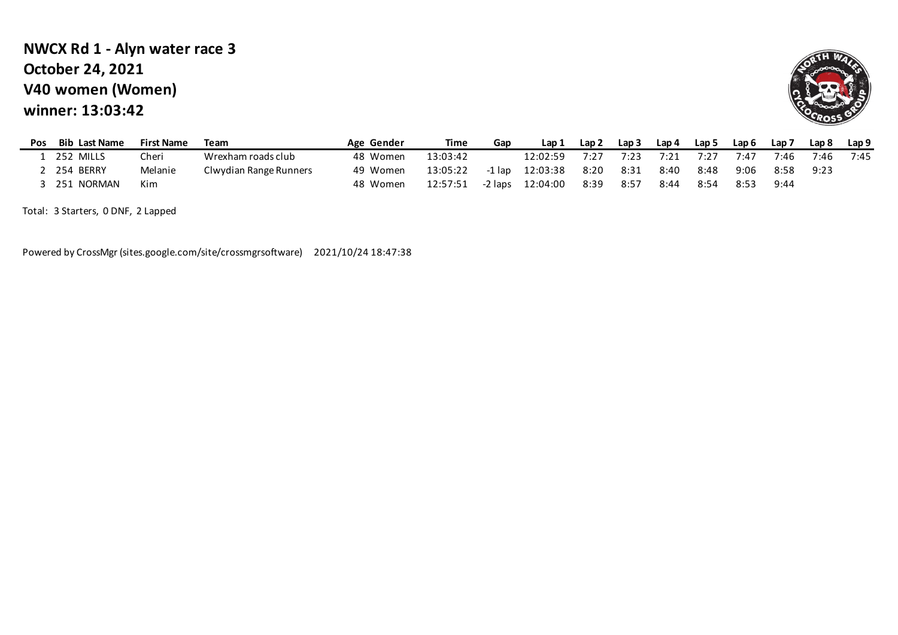## **V40 women (Women) winner: 13:03:42 NWCX Rd 1 - Alyn water race 3 October 24, 2021**



| <b>Pos</b> | <b>Bib Last Name</b> | <b>First Name</b> | Team                   | Age Gender | Time     | Gap     | Lap 1    | Lap 2 | Lap <sub>3</sub> | Lap 4 | Lap 5 | Lap 6 | Lap <sub>7</sub> | Lap 8 | Lap <sub>9</sub> |
|------------|----------------------|-------------------|------------------------|------------|----------|---------|----------|-------|------------------|-------|-------|-------|------------------|-------|------------------|
|            | 252<br>MILLS         | Cheri             | Wrexham roads club     | 48 Women   | 13:03:42 |         | .2:02:59 | 7:27  | 7:23             |       | 7:27  | 7:47  | 7:46.            | 7:46  | 7:45             |
|            | 254 BERRY            | Melanie           | Clwydian Range Runners | 49 Women   | 13:05:22 | -1 lap  | 12:03:38 | 8:20  | 8:31             | 8:40  | 8:48  | 9:06  | 8:58             | 9:23  |                  |
|            | NORMAN<br>251        | Kim               |                        | 48 Women   | 12:57:51 | -2 laps | 12:04:00 | 8:39  | 8:57             | 8:44  | 8:54  | 8:53  | 9:44             |       |                  |

Total: 3 Starters, 0 DNF, 2 Lapped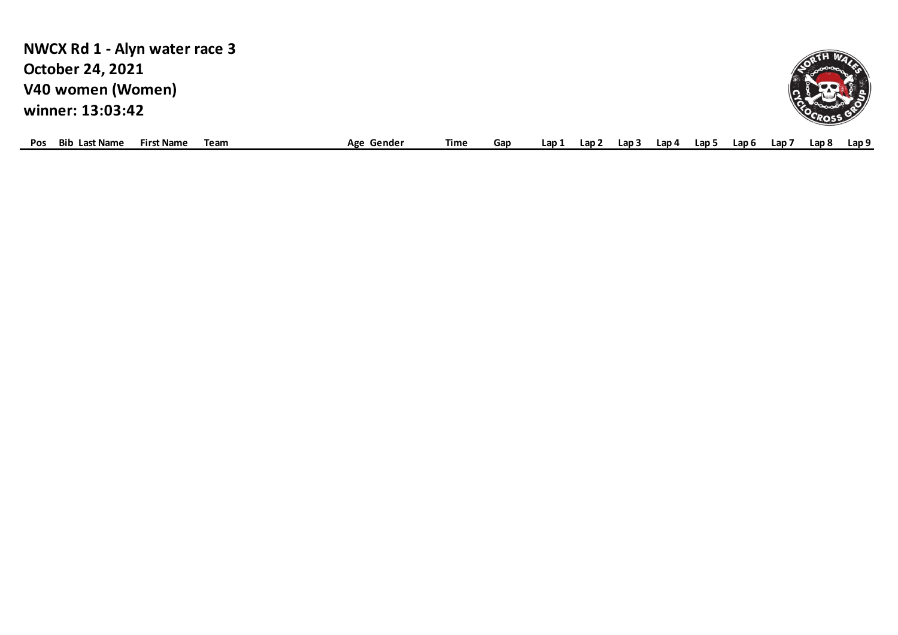| NWCX Rd 1 - Alyn water race 3                                   |            |      |     |       |       |       |       |       |       |                  |       |       |
|-----------------------------------------------------------------|------------|------|-----|-------|-------|-------|-------|-------|-------|------------------|-------|-------|
| <b>October 24, 2021</b>                                         |            |      |     |       |       |       |       |       |       |                  |       |       |
| V40 women (Women)                                               |            |      |     |       |       |       |       |       |       |                  |       |       |
| winner: 13:03:42                                                |            |      |     |       |       |       |       |       |       |                  |       |       |
|                                                                 |            |      |     |       |       |       |       |       |       |                  |       |       |
| <b>Bib Last Name</b><br><b>First Name</b><br>Team<br><b>Pos</b> | Age Gender | Time | Gap | Lap 1 | Lap 2 | Lan : | Lap 4 | Lap 5 | Lap 6 | Lap <sub>7</sub> | Lap 8 | Lap 9 |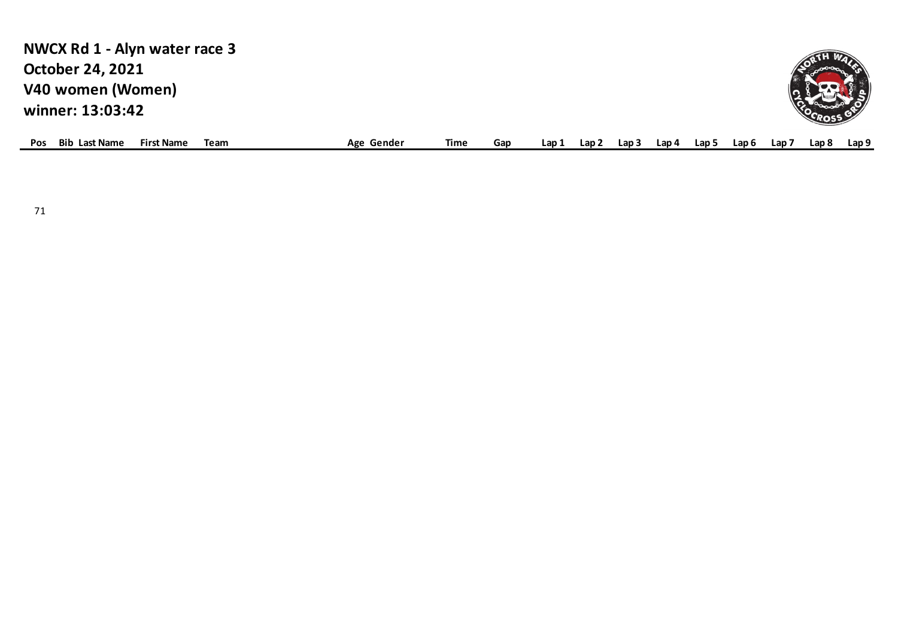# **V40 women (Women) winner: 13:03:42 NWCX Rd 1 - Alyn water race 3 October 24, 2021**



| <b>Pos</b> | Bib<br>Last Name | : Name<br>First | Team | Gender<br>Age | <b>fime</b> | Gap | Lan' | Lan | ∟ap ⊺ | Lap 4 | l an i | ap 6. | Lap i | ∟an ≀ | ap 9. |
|------------|------------------|-----------------|------|---------------|-------------|-----|------|-----|-------|-------|--------|-------|-------|-------|-------|
|            |                  |                 |      |               |             |     |      |     |       |       |        |       |       |       |       |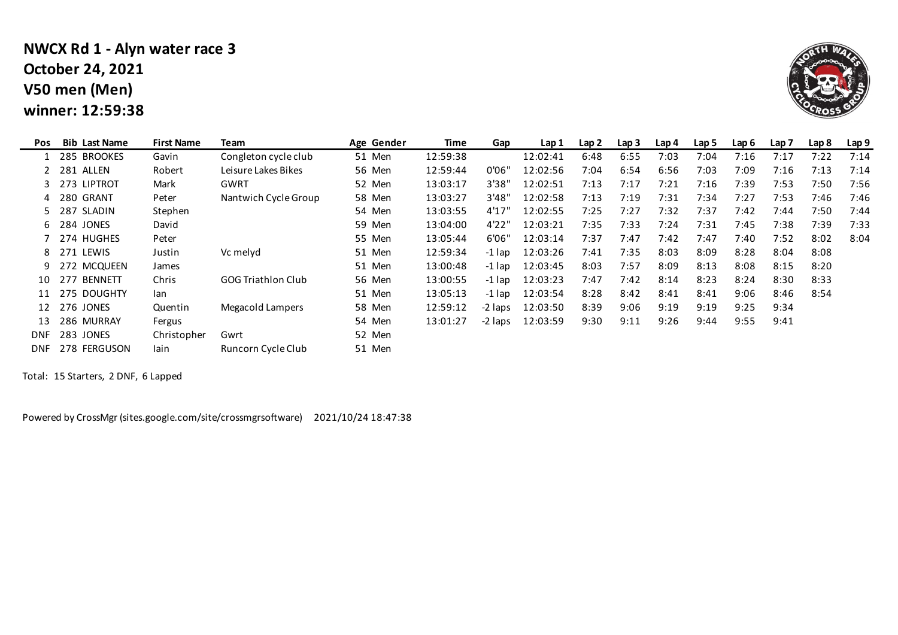# **V50 men (Men) winner: 12:59:38 NWCX Rd 1 - Alyn water race 3 October 24, 2021**

 $\mathbf{r}$ 



| Pos        | <b>Bib Last Name</b>  | <b>First Name</b> | Team                      | Age Gender | Time     | Gap      | Lap 1    | Lap <sub>2</sub> | Lap <sub>3</sub> | Lap 4 | Lap 5 | Lap 6 | Lap <sub>7</sub> | Lap 8 | Lap 9 |
|------------|-----------------------|-------------------|---------------------------|------------|----------|----------|----------|------------------|------------------|-------|-------|-------|------------------|-------|-------|
|            | 285 BROOKES           | Gavin             | Congleton cycle club      | 51 Men     | 12:59:38 |          | 12:02:41 | 6:48             | 6:55             | 7:03  | 7:04  | 7:16  | 7:17             | 7:22  | 7:14  |
|            | 2 281 ALLEN           | Robert            | Leisure Lakes Bikes       | 56 Men     | 12:59:44 | 0'06"    | 12:02:56 | 7:04             | 6:54             | 6:56  | 7:03  | 7:09  | 7:16             | 7:13  | 7:14  |
|            | 3 273 LIPTROT         | Mark              | <b>GWRT</b>               | 52 Men     | 13:03:17 | 3'38"    | 12:02:51 | 7:13             | 7:17             | 7:21  | 7:16  | 7:39  | 7:53             | 7:50  | 7:56  |
| 4          | 280 GRANT             | Peter             | Nantwich Cycle Group      | 58 Men     | 13:03:27 | 3'48''   | 12:02:58 | 7:13             | 7:19             | 7:31  | 7:34  | 7:27  | 7:53             | 7:46  | 7:46  |
|            | 5 287 SLADIN          | Stephen           |                           | 54 Men     | 13:03:55 | 4'17"    | 12:02:55 | 7:25             | 7:27             | 7:32  | 7:37  | 7:42  | 7:44             | 7:50  | 7:44  |
|            | 6 284 JONES           | David             |                           | 59 Men     | 13:04:00 | 4'22"    | 12:03:21 | 7:35             | 7:33             | 7:24  | 7:31  | 7:45  | 7:38             | 7:39  | 7:33  |
|            | 7 274 HUGHES          | Peter             |                           | 55 Men     | 13:05:44 | 6'06"    | 12:03:14 | 7:37             | 7:47             | 7:42  | 7:47  | 7:40  | 7:52             | 8:02  | 8:04  |
|            | 8 271 LEWIS           | Justin            | Vc melyd                  | 51 Men     | 12:59:34 | -1 lap   | 12:03:26 | 7:41             | 7:35             | 8:03  | 8:09  | 8:28  | 8:04             | 8:08  |       |
| 9          | 272 MCQUEEN           | James             |                           | 51 Men     | 13:00:48 | $-1$ lap | 12:03:45 | 8:03             | 7:57             | 8:09  | 8:13  | 8:08  | 8:15             | 8:20  |       |
| 10         | <b>BENNETT</b><br>277 | Chris             | <b>GOG Triathlon Club</b> | 56 Men     | 13:00:55 | $-1$ lap | 12:03:23 | 7:47             | 7:42             | 8:14  | 8:23  | 8:24  | 8:30             | 8:33  |       |
| 11         | 275 DOUGHTY           | lan.              |                           | 51 Men     | 13:05:13 | -1 lap   | 12:03:54 | 8:28             | 8:42             | 8:41  | 8:41  | 9:06  | 8:46             | 8:54  |       |
| 12         | 276 JONES             | Quentin           | Megacold Lampers          | 58 Men     | 12:59:12 | -2 laps  | 12:03:50 | 8:39             | 9:06             | 9:19  | 9:19  | 9:25  | 9:34             |       |       |
| 13         | 286 MURRAY            | Fergus            |                           | 54 Men     | 13:01:27 | -2 laps  | 12:03:59 | 9:30             | 9:11             | 9:26  | 9:44  | 9:55  | 9:41             |       |       |
| DNF.       | 283 JONES             | Christopher       | Gwrt                      | 52 Men     |          |          |          |                  |                  |       |       |       |                  |       |       |
| <b>DNF</b> | 278 FERGUSON          | lain              | Runcorn Cycle Club        | 51 Men     |          |          |          |                  |                  |       |       |       |                  |       |       |

Total: 15 Starters, 2 DNF, 6 Lapped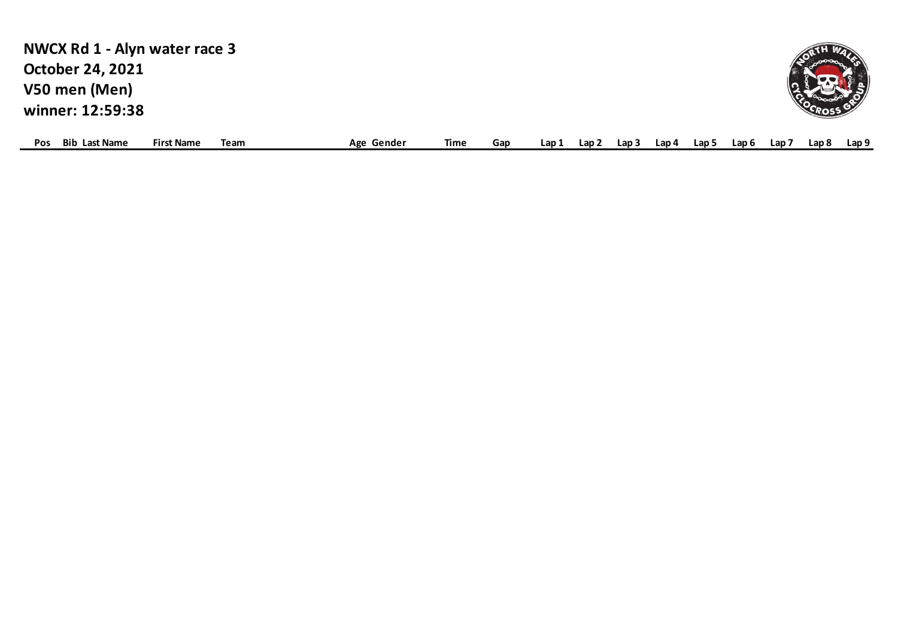| NWCX Rd 1 - Alyn water race 3                    |      |            |      |     |       |       |       |       |       |       |       |       |       |
|--------------------------------------------------|------|------------|------|-----|-------|-------|-------|-------|-------|-------|-------|-------|-------|
| <b>October 24, 2021</b>                          |      |            |      |     |       |       |       |       |       |       |       |       |       |
| V50 men (Men)                                    |      |            |      |     |       |       |       |       |       |       |       |       |       |
| winner: 12:59:38                                 |      |            |      |     |       |       |       |       |       |       |       |       |       |
| <b>Bib Last Name</b><br><b>First Name</b><br>Pos | Team | Age Gender | Time | Gap | Lap 1 | Lap 2 | Lap 3 | Lap 4 | Lap 5 | Lap 6 | Lap 7 | Lap 8 | Lap 9 |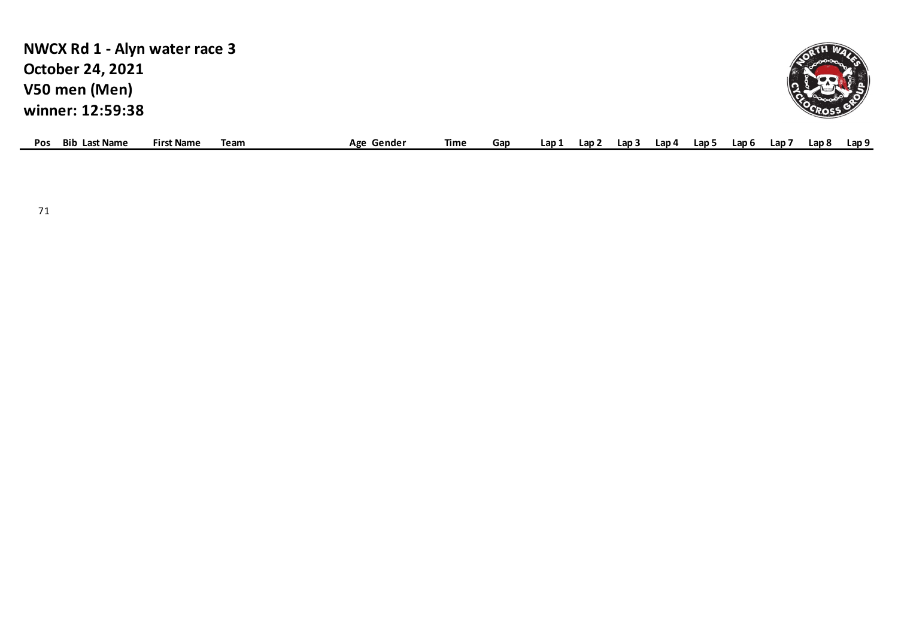| NWCX Rd 1 - Alyn water race 3                                   |            |      |     |       |       |       |       |       |       |                  |       |       |
|-----------------------------------------------------------------|------------|------|-----|-------|-------|-------|-------|-------|-------|------------------|-------|-------|
| <b>October 24, 2021</b>                                         |            |      |     |       |       |       |       |       |       |                  |       |       |
| V50 men (Men)                                                   |            |      |     |       |       |       |       |       |       |                  |       |       |
| winner: 12:59:38                                                |            |      |     |       |       |       |       |       |       |                  |       |       |
| <b>Bib Last Name</b><br><b>First Name</b><br>Team<br><b>Pos</b> | Age Gender | Time | Gap | Lap 1 | Lap 2 | Lap 3 | Lap 4 | Lap 5 | Lap 6 | Lap <sub>7</sub> | Lap 8 | Lap 9 |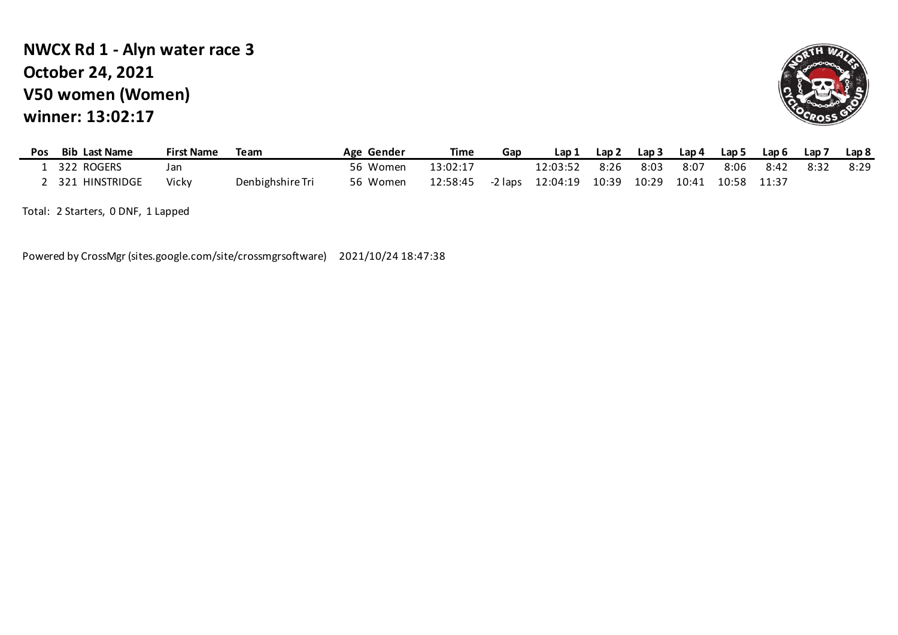# **V50 women (Women) winner: 13:02:17 NWCX Rd 1 - Alyn water race 3 October 24, 2021**



| <b>Pos</b> | <b>Bib Last Name</b> | <b>First Name</b> | Team             | Age Gender | Time     | Gap     | Lap 1    | Lap <sub>2</sub> | Lap 3 | Lap 4                   | Lap 5 | Lap 6 | Lap 7 | Lap <sub>8</sub> |
|------------|----------------------|-------------------|------------------|------------|----------|---------|----------|------------------|-------|-------------------------|-------|-------|-------|------------------|
|            | . 322 ROGERS         | Jan               |                  | 56 Women   | 13:02:17 |         | 12:03:52 | 8:26             | 8:03  | 8:07                    | 8:06  | 8:42  | 8:32  | 8:29             |
|            | 2 321 HINSTRIDGE     | Vickv             | Denbighshire Tri | 56 Women   | 12:58:45 | -2 laps | 12:04:19 | 10:39            |       | 10:29 10:41 10:58 11:37 |       |       |       |                  |

Total: 2 Starters, 0 DNF, 1 Lapped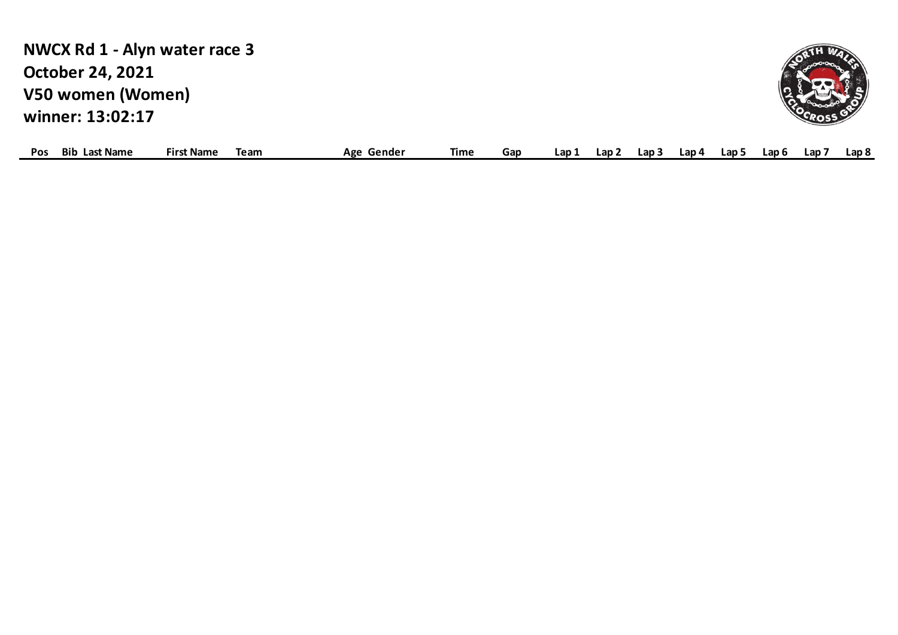**V50 women (Women) winner: 13:02:17 NWCX Rd 1 - Alyn water race 3 October 24, 2021**



| Bib<br><b>Pos</b><br>∟ast∴ | <b>Name</b><br><b>Name</b><br>Firs | Team | ΔσΔ<br>Gender<br>יאי | lime | Gar | Lan | Lan | Lap : | Lap 4 | Lap . |  | Lap t | Lan | Lap 8 |  |
|----------------------------|------------------------------------|------|----------------------|------|-----|-----|-----|-------|-------|-------|--|-------|-----|-------|--|
|----------------------------|------------------------------------|------|----------------------|------|-----|-----|-----|-------|-------|-------|--|-------|-----|-------|--|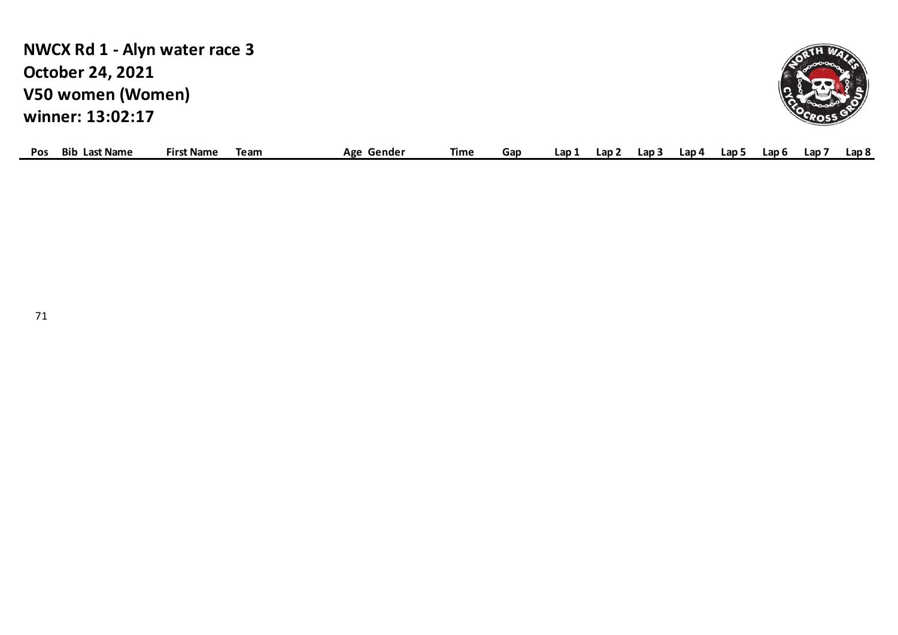**V50 women (Women) winner: 13:02:17 NWCX Rd 1 - Alyn water race 3 October 24, 2021**



| <b>POS</b> | Bib<br>Las<br>* Name : | Mame :<br>⊦ırs | Team | Δσε<br>Gende <sup>,</sup><br>-53 | Time | ar | Lap 1 | Lan | ∟ap⊺ | Lap 4 | ∟ap ' | ∟ap t | Lap | ∟ap & |
|------------|------------------------|----------------|------|----------------------------------|------|----|-------|-----|------|-------|-------|-------|-----|-------|
|            |                        |                |      |                                  |      |    |       |     |      |       |       |       |     |       |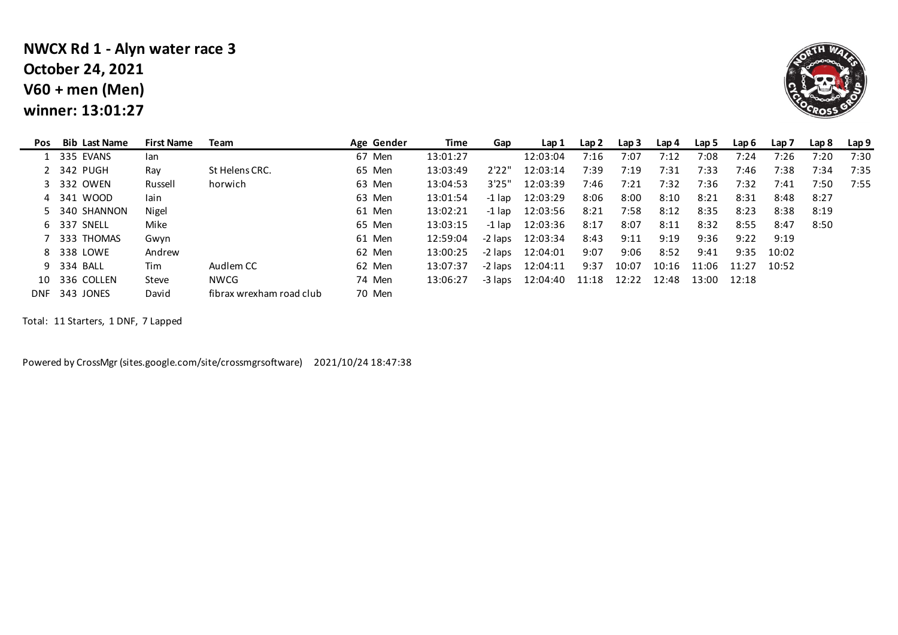## **V60 + men (Men) winner: 13:01:27 NWCX Rd 1 - Alyn water race 3 October 24, 2021**



| Pos | <b>Bib Last Name</b> | <b>First Name</b> | Team                     | Age Gender | Time     | Gap     | Lap 1    | Lap 2 | Lap 3 | Lap 4 | Lap 5       | Lap 6 | Lap <sub>7</sub> | Lap 8 | Lap 9 |
|-----|----------------------|-------------------|--------------------------|------------|----------|---------|----------|-------|-------|-------|-------------|-------|------------------|-------|-------|
|     | 1 335 EVANS          | <b>lan</b>        |                          | 67 Men     | 13:01:27 |         | 12:03:04 | 7:16  | 7:07  | 7:12  | 7:08        | 7:24  | 7:26             | 7:20  | 7:30  |
|     | 2 342 PUGH           | Ray               | St Helens CRC.           | 65 Men     | 13:03:49 | 2'22"   | 12:03:14 | 7:39  | 7:19  | 7:31  | 7:33        | 7:46  | 7:38             | 7:34  | 7:35  |
|     | 3 332 OWEN           | Russell           | horwich                  | 63 Men     | 13:04:53 | 3'25"   | 12:03:39 | 7:46  | 7:21  | 7:32  | 7:36        | 7:32  | 7:41             | 7:50  | 7:55  |
|     | 4 341 WOOD           | lain              |                          | 63 Men     | 13:01:54 | -1 lap  | 12:03:29 | 8:06  | 8:00  | 8:10  | 8:21        | 8:31  | 8:48             | 8:27  |       |
|     | 5 340 SHANNON        | Nigel             |                          | 61 Men     | 13:02:21 | -1 lap  | 12:03:56 | 8:21  | 7:58  | 8:12  | 8:35        | 8:23  | 8:38             | 8:19  |       |
|     | 6 337 SNELL          | Mike              |                          | 65 Men     | 13:03:15 | -1 lap  | 12:03:36 | 8:17  | 8:07  | 8:11  | 8:32        | 8:55  | 8:47             | 8:50  |       |
|     | 7 333 THOMAS         | Gwyn              |                          | 61 Men     | 12:59:04 | -2 laps | 12:03:34 | 8:43  | 9:11  | 9:19  | 9:36        | 9:22  | 9:19             |       |       |
|     | 8 338 LOWE           | Andrew            |                          | 62 Men     | 13:00:25 | -2 laps | 12:04:01 | 9:07  | 9:06  | 8:52  | 9:41        | 9:35  | 10:02            |       |       |
|     | 9 334 BALL           | Tim               | Audlem CC                | 62 Men     | 13:07:37 | -2 laps | 12:04:11 | 9:37  | 10:07 | 10:16 | 11:06       | 11:27 | 10:52            |       |       |
|     | 10 336 COLLEN        | Steve             | NWCG                     | 74 Men     | 13:06:27 | -3 laps | 12:04:40 | 11:18 | 12:22 | 12:48 | 13:00 12:18 |       |                  |       |       |
|     | DNF 343 JONES        | David             | fibrax wrexham road club | 70 Men     |          |         |          |       |       |       |             |       |                  |       |       |

Total: 11 Starters, 1 DNF, 7 Lapped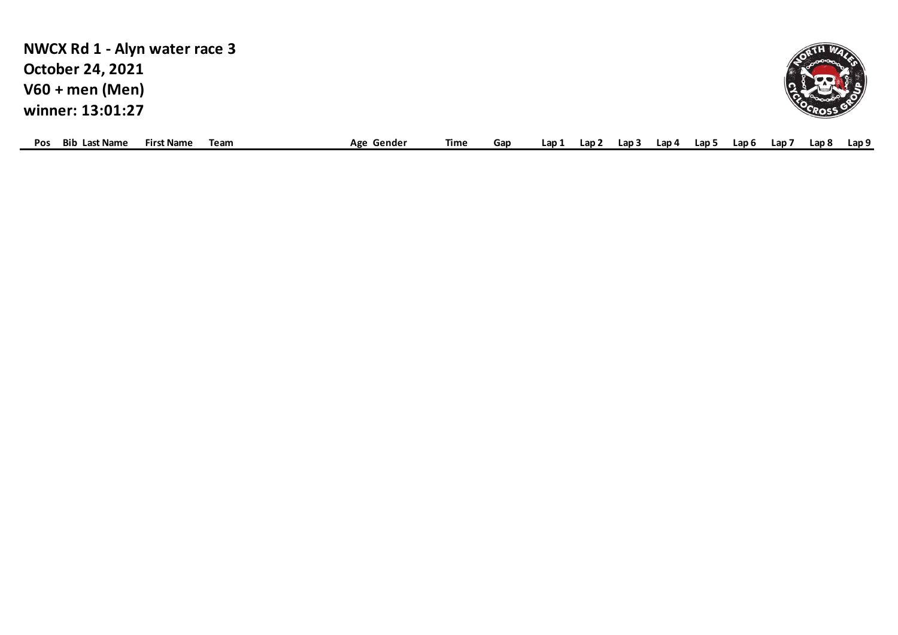| NWCX Rd 1 - Alyn water race 3      |                   |      |            |      |     |       |       |     |       |       |       |     |       |                  |
|------------------------------------|-------------------|------|------------|------|-----|-------|-------|-----|-------|-------|-------|-----|-------|------------------|
| <b>October 24, 2021</b>            |                   |      |            |      |     |       |       |     |       |       |       |     |       |                  |
| $V60 + men (Men)$                  |                   |      |            |      |     |       |       |     |       |       |       |     |       |                  |
| winner: 13:01:27                   |                   |      |            |      |     |       |       |     |       |       |       |     |       |                  |
| <b>Bib Last Name</b><br><b>Pos</b> | <b>First Name</b> | Team | Age Gender | Time | Gap | Lap 1 | Lap 2 | Lap | Lap 4 | Lap 5 | Lap 6 | Lap | Lap 8 | Lap <sub>9</sub> |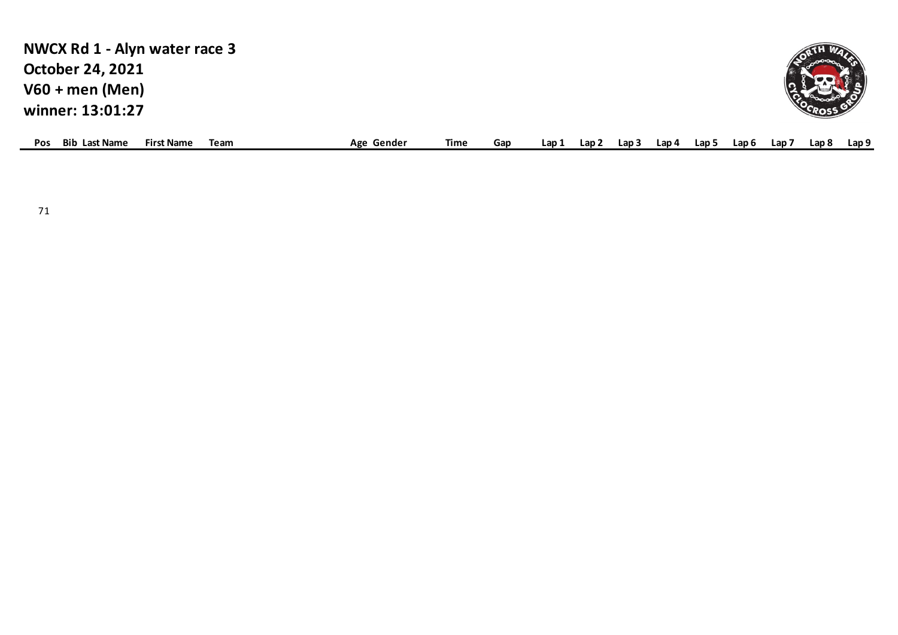| NWCX Rd 1 - Alyn water race 3                                   |            |      |     |       |       |       |       |       |       |                  |       |       |
|-----------------------------------------------------------------|------------|------|-----|-------|-------|-------|-------|-------|-------|------------------|-------|-------|
| <b>October 24, 2021</b>                                         |            |      |     |       |       |       |       |       |       |                  |       |       |
| $V60 + men (Men)$                                               |            |      |     |       |       |       |       |       |       |                  |       |       |
| winner: 13:01:27                                                |            |      |     |       |       |       |       |       |       |                  |       |       |
| <b>Bib Last Name</b><br><b>First Name</b><br>Team<br><b>Pos</b> | Age Gender | Time | Gap | Lap 1 | Lap 2 | Lap 3 | Lap 4 | Lap 5 | Lap 6 | Lap <sub>7</sub> | Lap 8 | Lap 9 |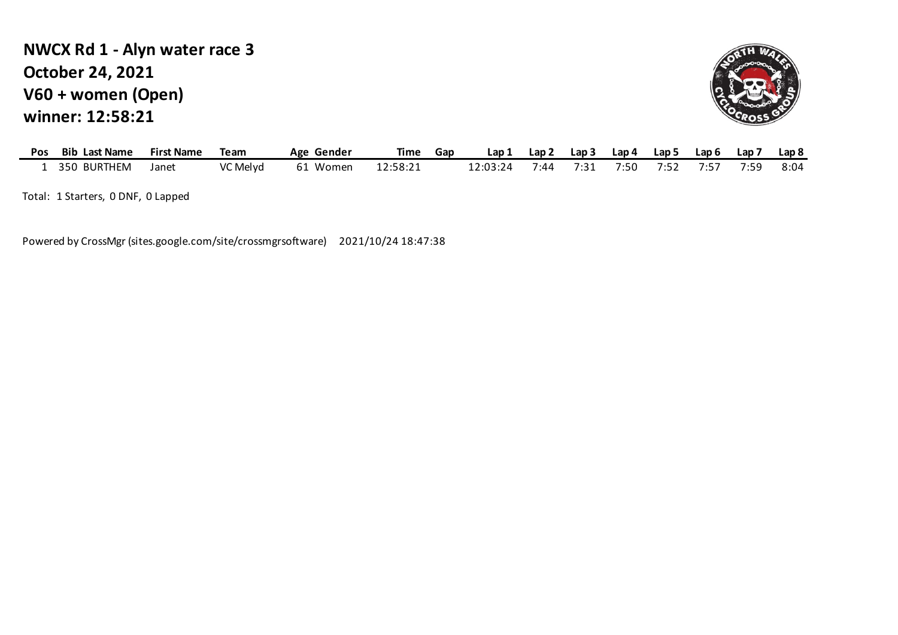# **V60 + women (Open) winner: 12:58:21 NWCX Rd 1 - Alyn water race 3 October 24, 2021**



| Pos | <b>Bib Last Name</b> | <b>First Name</b> | Team     | Age Gender  | <b>Time</b> | Gap | Lap      | ∟ap⊺ | Lap 3 | Lap 4 | Lap 5   | Lap 6   | Lap 7 | Lap <sub>8</sub> |
|-----|----------------------|-------------------|----------|-------------|-------------|-----|----------|------|-------|-------|---------|---------|-------|------------------|
|     | 350 BURTHEM          | Janet             | VC Melyd | Women<br>61 | 12:58:21    |     | 12:03:24 | 7:44 | 7:31  | 7:50  | 7 . L . | $\cdot$ | 7:59  | 8:04             |

Total: 1 Starters, 0 DNF, 0 Lapped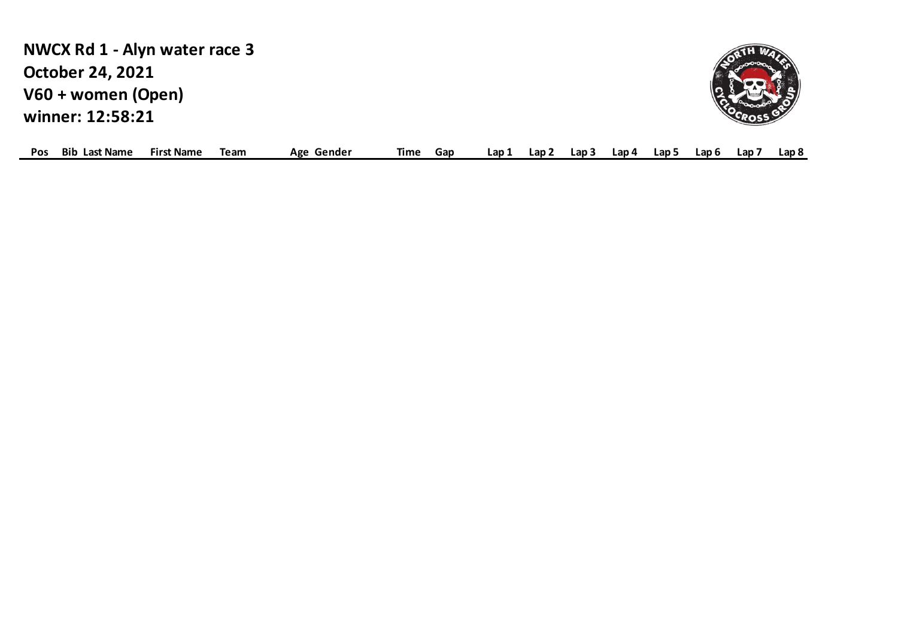**V60 + women (Open) winner: 12:58:21 NWCX Rd 1 - Alyn water race 3 October 24, 2021**



| Pos | <b>Bib</b><br>Last Name | <b>First Name</b> | Team | Gender<br>Age | Гіmе | Gar | - -<br>- av | _an ` | Lap 3 | Lap 4 | Lan ! | Lap 6 | Lap | Lap 8 |  |
|-----|-------------------------|-------------------|------|---------------|------|-----|-------------|-------|-------|-------|-------|-------|-----|-------|--|
|-----|-------------------------|-------------------|------|---------------|------|-----|-------------|-------|-------|-------|-------|-------|-----|-------|--|